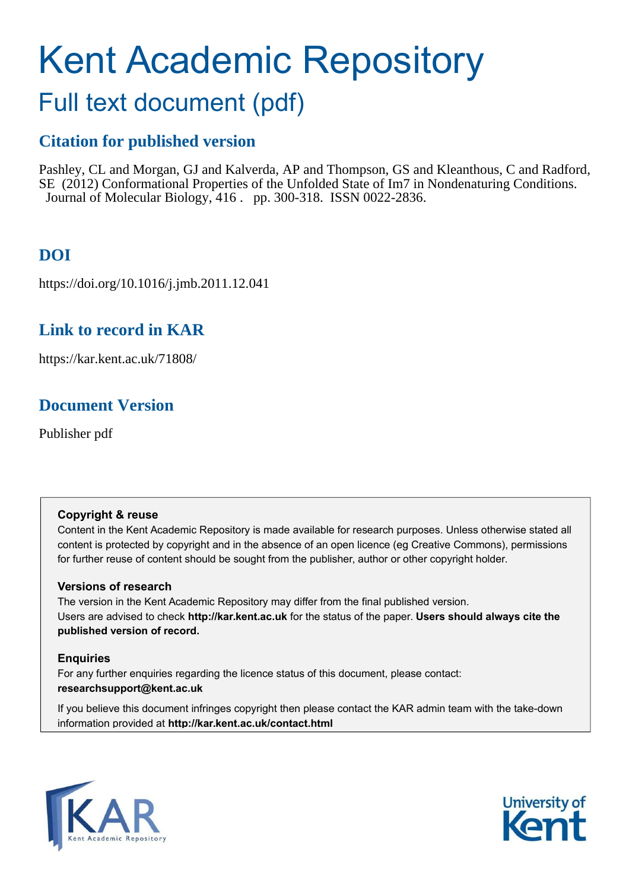# Kent Academic Repository

# Full text document (pdf)

# **Citation for published version**

Pashley, CL and Morgan, GJ and Kalverda, AP and Thompson, GS and Kleanthous, C and Radford, SE (2012) Conformational Properties of the Unfolded State of Im7 in Nondenaturing Conditions. Journal of Molecular Biology, 416 . pp. 300-318. ISSN 0022-2836.

# **DOI**

https://doi.org/10.1016/j.jmb.2011.12.041

# **Link to record in KAR**

https://kar.kent.ac.uk/71808/

# **Document Version**

Publisher pdf

# **Copyright & reuse**

Content in the Kent Academic Repository is made available for research purposes. Unless otherwise stated all content is protected by copyright and in the absence of an open licence (eg Creative Commons), permissions for further reuse of content should be sought from the publisher, author or other copyright holder.

# **Versions of research**

The version in the Kent Academic Repository may differ from the final published version. Users are advised to check **http://kar.kent.ac.uk** for the status of the paper. **Users should always cite the published version of record.**

# **Enquiries**

For any further enquiries regarding the licence status of this document, please contact: **researchsupport@kent.ac.uk**

If you believe this document infringes copyright then please contact the KAR admin team with the take-down information provided at **http://kar.kent.ac.uk/contact.html**



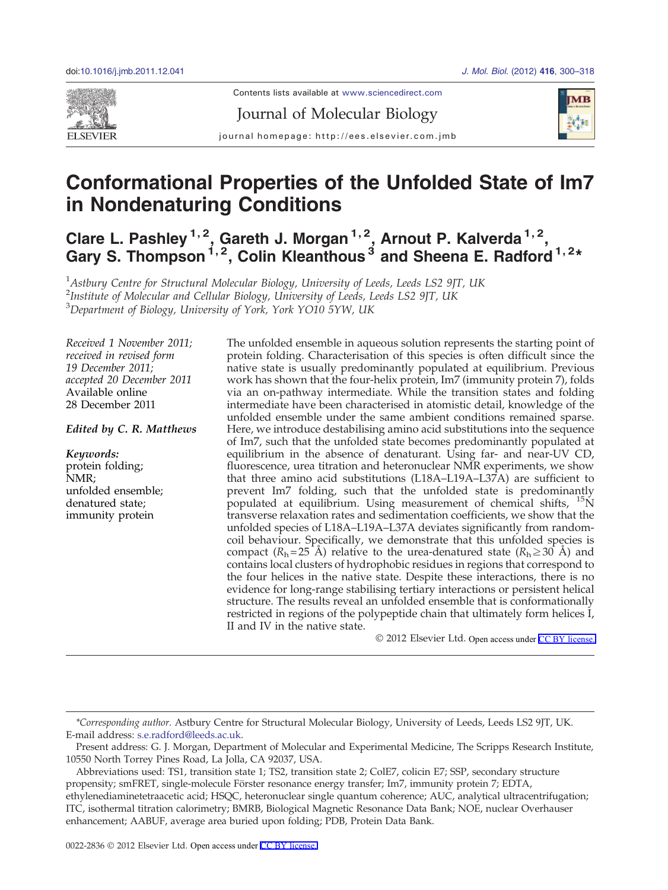<span id="page-1-0"></span>

Journal of Molecular Biology



journal homepage: http://ees.elsevier.com.jmb

# Conformational Properties of the Unfolded State of Im7 in Nondenaturing Conditions

Clare L. Pashley  $1, 2$ , Gareth J. Morgan  $1, 2$ , Arnout P. Kalverda  $1, 2$ , Gary S. Thompson  $^{1, 2}$ , Colin Kleanthous  $^3$  and Sheena E. Radford  $^{1, 2*}$ 

 $1$ Astbury Centre for Structural Molecular Biology, University of Leeds, Leeds LS2 9JT, UK <sup>2</sup>Institute of Molecular and Cellular Biology, University of Leeds, Leeds LS2 9JT, UK  $3$ Department of Biology, University of York, York YO10 5YW, UK

Received 1 November 2011; received in revised form 19 December 2011; accepted 20 December 2011 Available online 28 December 2011

## *Edited by C. R. Matthews*

*Keywords:* protein folding; NMR; unfolded ensemble; denatured state; immunity protein

The unfolded ensemble in aqueous solution represents the starting point of protein folding. Characterisation of this species is often difficult since the native state is usually predominantly populated at equilibrium. Previous work has shown that the four-helix protein, Im7 (immunity protein 7), folds via an on-pathway intermediate. While the transition states and folding intermediate have been characterised in atomistic detail, knowledge of the unfolded ensemble under the same ambient conditions remained sparse. Here, we introduce destabilising amino acid substitutions into the sequence of Im7, such that the unfolded state becomes predominantly populated at equilibrium in the absence of denaturant. Using far- and near-UV CD, fluorescence, urea titration and heteronuclear NMR experiments, we show that three amino acid substitutions (L18A–L19A–L37A) are sufficient to prevent Im7 folding, such that the unfolded state is predominantly populated at equilibrium. Using measurement of chemical shifts, <sup>15</sup>N transverse relaxation rates and sedimentation coefficients, we show that the unfolded species of L18A–L19A–L37A deviates significantly from randomcoil behaviour. Specifically, we demonstrate that this unfolded species is compact ( $R_h$ =25 Å) relative to the urea-denatured state ( $R_h \ge 30$  Å) and contains local clusters of hydrophobic residues in regions that correspond to the four helices in the native state. Despite these interactions, there is no evidence for long-range stabilising tertiary interactions or persistent helical structure. The results reveal an unfolded ensemble that is conformationally restricted in regions of the polypeptide chain that ultimately form helices I, II and IV in the native state.

© 2012 Elsevier Ltd. Open access under [CC BY license.](http://creativecommons.org/licenses/by/3.0/)

<sup>\*</sup>Corresponding author. Astbury Centre for Structural Molecular Biology, University of Leeds, Leeds LS2 9JT, UK. E-mail address: [s.e.radford@leeds.ac.uk.](mailto:s.e.radford@leeds.ac.uk)

Present address: G. J. Morgan, Department of Molecular and Experimental Medicine, The Scripps Research Institute, 10550 North Torrey Pines Road, La Jolla, CA 92037, USA.

Abbreviations used: TS1, transition state 1; TS2, transition state 2; ColE7, colicin E7; SSP, secondary structure propensity; smFRET, single-molecule Förster resonance energy transfer; Im7, immunity protein 7; EDTA, ethylenediaminetetraacetic acid; HSQC, heteronuclear single quantum coherence; AUC, analytical ultracentrifugation; ITC, isothermal titration calorimetry; BMRB, Biological Magnetic Resonance Data Bank; NOE, nuclear Overhauser enhancement; AABUF, average area buried upon folding; PDB, Protein Data Bank.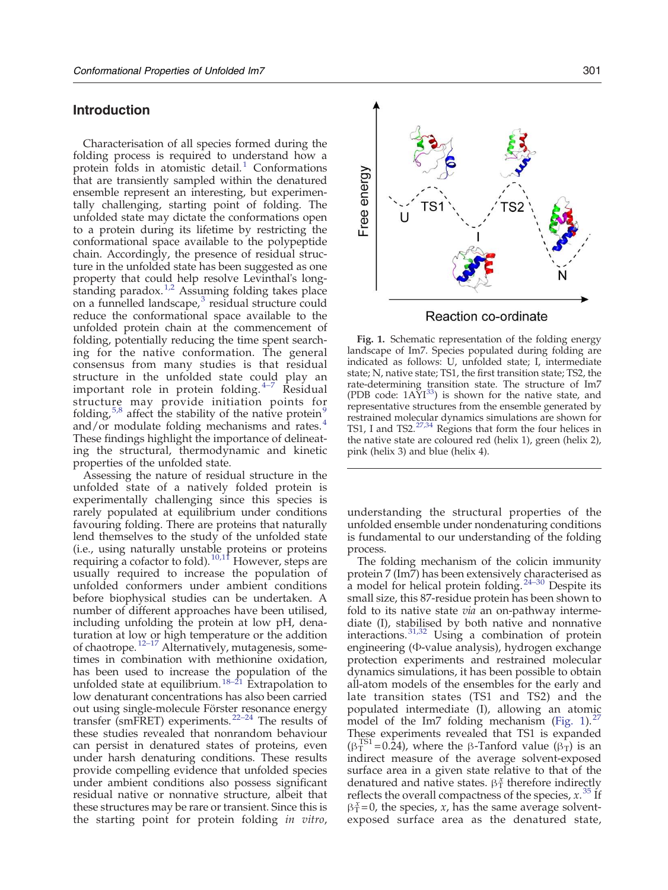# <span id="page-2-0"></span>Introduction

Characterisation of all species formed during the folding process is required to understand how a protein folds in atomistic detail[.](#page-16-0) $\frac{1}{1}$  $\frac{1}{1}$  $\frac{1}{1}$  Conformations that are transiently sampled within the denatured ensemble represent an interesting, but experimentally challenging, starting point of folding. The unfolded state may dictate the conformations open to a protein during its lifetime by restricting the conformational space available to the polypeptide chain. Accordingly, the presence of residual structure in the unfolded state has been suggested as one property that could help resolve Levinthal's long-standing paradox[.](#page-16-0)<sup>[1,2](#page-16-0)</sup> Assuming folding takes place on a funnelled landscape[,](#page-16-0)<sup>[3](#page-16-0)</sup> residual structure could reduce the conformational space available to the unfolded protein chain at the commencement of folding, potentially reducing the time spent searching for the native conformation. The general consensus from many studies is that residual structure in the unfolded state co[uld](#page-16-0) play an important role in protein folding[.](#page-16-0) <sup>4</sup>–<sup>7</sup> Residual structure may provide initiation points for folding[,](#page-16-0)  $5,8$  affect the stability of the [n](#page-16-0)ative protein<sup>[9](#page-16-0)</sup> and/or modulate folding mechanisms and rates[.](#page-16-0)<sup>[4](#page-16-0)</sup> These findings highlight the importance of delineating the structural, thermodynamic and kinetic properties of the unfolded state.

Assessing the nature of residual structure in the unfolded state of a natively folded protein is experimentally challenging since this species is rarely populated at equilibrium under conditions favouring folding. There are proteins that naturally lend themselves to the study of the unfolded state (i.e., using naturally unstable proteins or proteins requiring a cofactor to fold)[.](#page-16-0)  $10,11$  However, steps are usually required to increase the population of unfolded conformers under ambient conditions before biophysical studies can be undertaken. A number of different approaches have been utilised, including unfolding the protein at low pH, denaturation at l[ow or](#page-16-0) high temperature or the addition of chaotrope[.](#page-16-0)<sup>12–17</sup> Alternatively, mutagenesis, sometimes in combination with methionine oxidation, has been used to increase the population of the unfolded state at equilibrium[.](#page-16-0)<sup>[18](#page-16-0)–21</sup> Extrapolation to low denaturant concentrations has also been carried out using single-molecule Först[er res](#page-16-0)onance energy transfer (smFRET) experiments[.](#page-16-0)<sup>22-24</sup> The results of these studies revealed that nonrandom behaviour can persist in denatured states of proteins, even under harsh denaturing conditions. These results provide compelling evidence that unfolded species under ambient conditions also possess significant residual native or nonnative structure, albeit that these structures may be rare or transient. Since this is the starting point for protein folding in vitro,





Fig. 1. Schematic representation of the folding energy landscape of Im7. Species populated during folding are indicated as follows: U, unfolded state; I, intermediate state; N, native state; TS1, the first transition state; TS2, the rate-determining transition state. The structure of Im7 (PDB code:  $1AYI^{33}$  $1AYI^{33}$  $1AYI^{33}$  $1AYI^{33}$  $1AYI^{33}$ ) is shown for the native state, and representative structures from the ensemble generated by restrained molecular dynamics simulations are shown for TS1, I and TS2[.](#page-16-0)<sup>[27,34](#page-16-0)</sup> Regions that form the four helices in the native state are coloured red (helix 1), green (helix 2), pink (helix 3) and blue (helix 4).

understanding the structural properties of the unfolded ensemble under nondenaturing conditions is fundamental to our understanding of the folding process.

The folding mechanism of the colicin immunity protein 7 (Im7) has been extensively [char](#page-16-0)acterised as a model for helical protein folding[.](#page-16-0)  $24-30$  Despite its small size, this 87-residue protein has been shown to fold to its native state *via* an on-pathway intermediate (I), stabilised by both native and nonnative interactions[.](#page-17-0)<sup>[31,32](#page-17-0)</sup> Using a combination of protein engineering (Φ-value analysis), hydrogen exchange protection experiments and restrained molecular dynamics simulations, it has been possible to obtain all-atom models of the ensembles for the early and late transition states (TS1 and TS2) and the populated intermediate (I), allowing an atomic model of the Im7 folding mechanism [\(Fig. 1](#page-1-0))[.](#page-16-0) $27$ These experiments revealed that TS1 is expanded  $(\beta_T^{TS1} = 0.\overline{24})$ , where the β-Tanford value  $(\beta_T)$  is an indirect measure of the average solvent-exposed surface area in a given state relative to that of the denatured and native states.  $\beta_T^x$  therefore indirectly reflects the overall compactness of the species,  $x^{35}$  $x^{35}$  $x^{35}$  If  $\beta_{\rm T}^x = 0$ , the species, x, has the same average solventexposed surface area as the denatured state,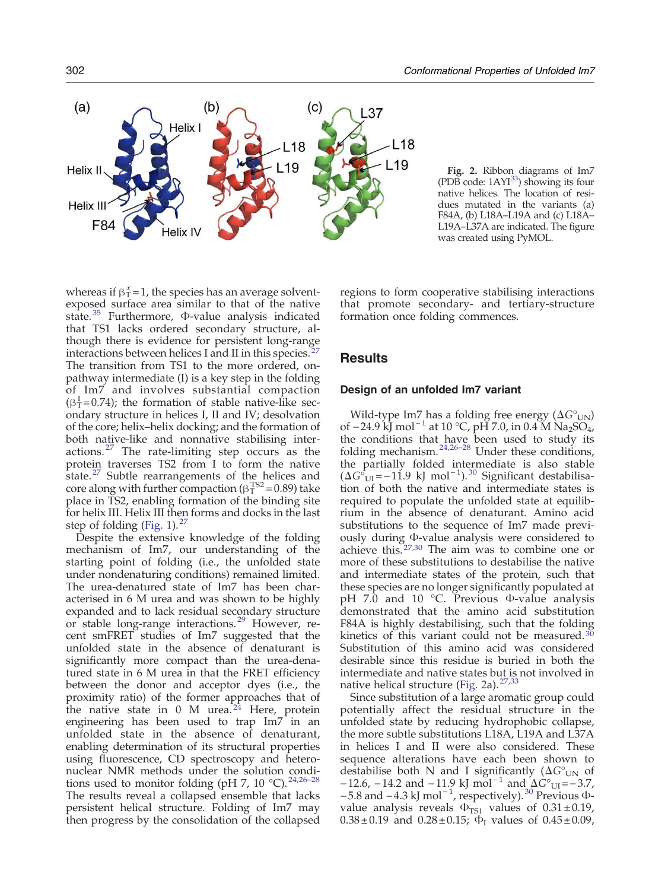<span id="page-3-0"></span>

Fig. 2. Ribbon diagrams of Im7 (PDB code:  $1AYI^{33}$  $1AYI^{33}$  $1AYI^{33}$  $1AYI^{33}$  $1AYI^{33}$ ) showing its four native helices. The location of residues mutated in the variants (a) F84A, (b) L18A–L19A and (c) L18A– L19A–L37A are indicated. The figure was created using PyMOL.

whereas if  $\beta_T^x = 1$ , the species has an average solventexposed surface area similar to that of the native state[.](#page-17-0) [35](#page-17-0) Furthermore, Φ-value analysis indicated that TS1 lacks ordered secondary structure, although there is evidence for persistent long-range interactions between helices I and II in this species[.](#page-16-0)<sup>[27](#page-16-0)</sup> The transition from TS1 to the more ordered, onpathway intermediate (I) is a key step in the folding of Im7 and involves substantial compaction  $(\beta_{\text{T}}^{\text{I}}=0.74)$ ; the formation of stable native-like secondary structure in helices I, II and IV; desolvation of the core; helix–helix docking; and the formation of both native-like and nonnative stabilising inter-actions[.](#page-16-0) $27$  The rate-limiting step occurs as the protein traverses TS2 from I to form the native state[.](#page-16-0) $27$  Subtle rearrangements of the helices and core along with further compaction ( $\beta_T^{TS2}$  = 0.89) take place in TS2, enabling formation of the binding site for helix III. Helix III then forms and docks in the last step of folding [\(Fig. 1](#page-1-0))[.](#page-16-0) $^{27}$  $^{27}$  $^{27}$ 

Despite the extensive knowledge of the folding mechanism of Im7, our understanding of the starting point of folding (i.e., the unfolded state under nondenaturing conditions) remained limited. The urea-denatured state of Im7 has been characterised in 6 M urea and was shown to be highly expanded and to lack residual secondary structure or stable long-range interactions[.](#page-17-0)<sup>[29](#page-17-0)</sup> However, recent smFRET studies of Im7 suggested that the unfolded state in the absence of denaturant is significantly more compact than the urea-denatured state in 6 M urea in that the FRET efficiency between the donor and acceptor dyes (i.e., the proximity ratio) of the former approaches that of the native state in  $0$  M urea[.](#page-16-0)<sup>[24](#page-16-0)</sup> Here, protein engineering has been used to trap Im7 in an unfolded state in the absence of denaturant, enabling determination of its structural properties using fluorescence, CD spectroscopy and heteronuclear NMR methods under the solution condi-tions used to monitor folding (pH 7, 10 °C)[.](#page-16-0)<sup>[24,26](#page-16-0)–28</sup> The results reveal a collapsed ensemble that lacks persistent helical structure. Folding of Im7 may then progress by the consolidation of the collapsed

regions to form cooperative stabilising interactions that promote secondary- and tertiary-structure formation once folding commences.

# **Results**

## Design of an unfolded Im7 variant

Wild-type Im7 has a folding free energy  $(\Delta G^{\circ}_{UN})$ of −24.9 kJ mol<sup>−1</sup> at 10 °C, pH 7.0, in 0.4 M Na<sub>2</sub>SO<sub>4</sub>, the conditions that have been used to study its folding mechanism[.](#page-16-0) $24,26-28$  $24,26-28$  Under these conditions, the partially folded intermediate is also stable  $(ΔG<sup>o</sup><sub>UI</sub>=−11.9 kJ mol<sup>−1</sup>).<sup>30</sup> Significant destabilisa (ΔG<sup>o</sup><sub>UI</sub>=−11.9 kJ mol<sup>−1</sup>).<sup>30</sup> Significant destabilisa (ΔG<sup>o</sup><sub>UI</sub>=−11.9 kJ mol<sup>−1</sup>).<sup>30</sup> Significant destabilisa (ΔG<sup>o</sup><sub>UI</sub>=−11.9 kJ mol<sup>−1</sup>).<sup>30</sup> Significant destabilisa (ΔG<sup>o</sup><sub>UI</sub>=−11.9 kJ mol<sup>−1</sup>).<sup>30</sup> Significant destabilisa$ tion of both the native and intermediate states is required to populate the unfolded state at equilibrium in the absence of denaturant. Amino acid substitutions to the sequence of Im7 made previously during Φ-value analysis were considered to achieve this[.](#page-16-0)[27,30](#page-16-0) The aim was to combine one or more of these substitutions to destabilise the native and intermediate states of the protein, such that these species are no longer significantly populated at pH 7.0 and 10 °C. Previous Φ-value analysis demonstrated that the amino acid substitution F84A is highly destabilising, such that the folding kinetics of this variant could not be measured[.](#page-17-0)<sup>[30](#page-17-0)</sup> Substitution of this amino acid was considered desirable since this residue is buried in both the intermediate and native states but is not involved in native helical structure [\(Fig. 2](#page-2-0)a)[.](#page-16-0)  $27,33$ 

Since substitution of a large aromatic group could potentially affect the residual structure in the unfolded state by reducing hydrophobic collapse, the more subtle substitutions L18A, L19A and L37A in helices I and II were also considered. These sequence alterations have each been shown to destabilise both N and I significantly ( $\Delta G^{\circ}$ UN of  $-12.6$ , −14.2 and −11.9 kJ mol<sup>-1</sup> and  $\Delta G^{\circ}$ <sub>UI</sub>=−3.7,  $-5.8$  $-5.8$  $-5.8$  and  $-4.3$  kJ mol<sup>-1</sup>, respectively).<sup>[30](#page-17-0)</sup> Previous Φvalue analysis reveals  $\Phi_{\text{TS1}}$  values of  $0.31 \pm 0.19$ ,  $0.38 \pm 0.19$  and  $0.28 \pm 0.15$ ;  $\Phi$ <sub>I</sub> values of  $0.45 \pm 0.09$ ,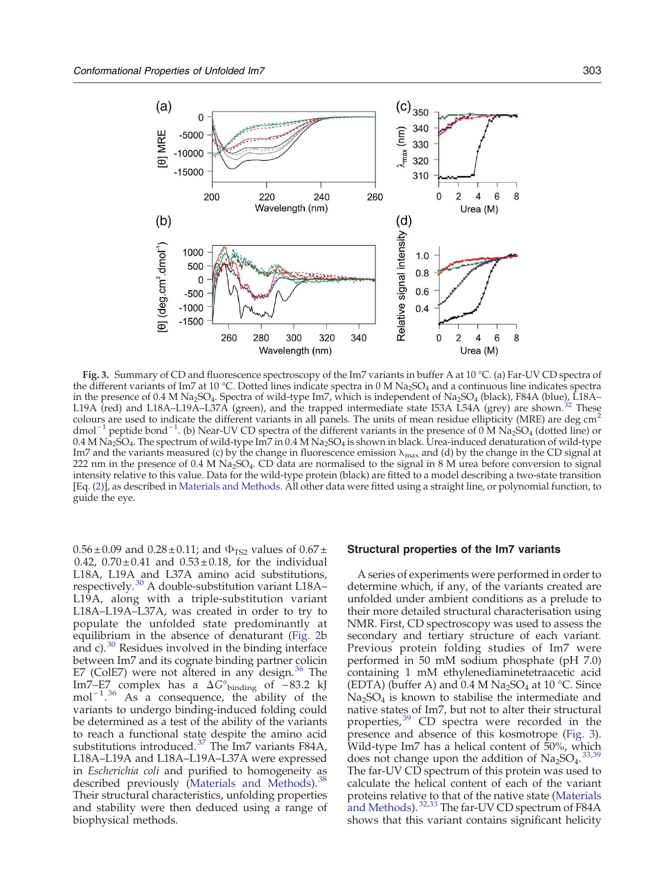<span id="page-4-0"></span>

Fig. 3. Summary of CD and fluorescence spectroscopy of the Im7 variants in buffer A at 10 °C. (a) Far-UV CD spectra of the different variants of Im7 at 10 °C. Dotted lines indicate spectra in 0 M Na<sub>2</sub>SO<sub>4</sub> and a continuous line indicates spectra in the presence of 0.4 M Na<sub>2</sub>SO<sub>4</sub>. Spectra of wild-type Im7, which is independent of Na<sub>2</sub>SO<sub>4</sub> (black), F84A (blue), L18A–<br>L19A (red) and L18A–L19A–L37A (green), and the trapped intermediate state I53A L54A (grey) are L19A (red) and L18A–L19A–L37A (green), and the trapped intermediate state I53A L54A (grey) are shown[.](#page-17-0)<sup>3</sup> colours are used to indicate the different variants in all panels. The units of mean residue ellipticity (MRE) are deg cm<sup>2</sup> dmol−<sup>1</sup> peptide bond−<sup>1</sup> . (b) Near-UV CD spectra of the different variants in the presence of 0 M Na2SO<sup>4</sup> (dotted line) or 0.4 M Na<sub>2</sub>SO<sub>4</sub>. The spectrum of wild-type Im7 in 0.4 M Na<sub>2</sub>SO<sub>4</sub> is shown in black. Urea-induced denaturation of wild-type Im7 and the variants measured (c) by the change in fluorescence emission  $\lambda_{\text{max}}$  and (d) by the change in the CD signal at 222 nm in the presence of 0.4 M Na<sub>2</sub>SO<sub>4</sub>. CD data are normalised to the signal in 8 M urea before conversion to signal intensity relative to this value. Data for the wild-type protein (black) are fitted to a model describing a two-state transition [Eq. ([2](#page-13-0))], as described in [Materials and Methods.](#page-13-0) All other data were fitted using a straight line, or polynomial function, to guide the eye.

 $0.56 \pm 0.09$  and  $0.28 \pm 0.11$ ; and  $\Phi_{TS2}$  values of  $0.67 \pm 0.09$ 0.42,  $0.70 \pm 0.41$  and  $0.53 \pm 0.18$ , for the individual L18A, L19A and L37A amino acid substitutions, respectively[.](#page-17-0)[30](#page-17-0) A double-substitution variant L18A– L19A, along with a triple-substitution variant L18A–L19A–L37A, was created in order to try to populate the unfolded state predominantly at equilibrium in the absence of denaturant [\(Fig. 2](#page-2-0)b and c)[.](#page-17-0)  $30$  Residues involved in the binding interface between Im7 and its cognate binding partner colicin E7 (ColE7) were not altered in any design[.](#page-17-0) $36$  The Im7–E7 complex has a  $\Delta G^{\circ}$ <sub>binding</sub> of −83.2 kJ mol<sup>-1</sup>[.](#page-17-0)<sup>[36](#page-17-0)</sup> As a consequence, the ability of the variants to undergo binding-induced folding could be determined as a test of the ability of the variants to reach a functional state despite the amino acid substitutions introduced[.](#page-17-0) $37$  The Im7 variants F84A, L18A–L19A and L18A–L19A–L37A were expressed in Escherichia coli and purified to homogeneity as described previously [\(Materials and Methods\)](#page-13-0)[.](#page-17-0)<sup>[38](#page-17-0)</sup> Their structural characteristics, unfolding properties and stability were then deduced using a range of biophysical methods.

#### Structural properties of the Im7 variants

A series of experiments were performed in order to determine which, if any, of the variants created are unfolded under ambient conditions as a prelude to their more detailed structural characterisation using NMR. First, CD spectroscopy was used to assess the secondary and tertiary structure of each variant. Previous protein folding studies of Im7 were performed in 50 mM sodium phosphate (pH 7.0) containing 1 mM ethylenediaminetetraacetic acid (EDTA) (buffer A) and 0.4 M  $Na<sub>2</sub>SO<sub>4</sub>$  at 10 °C. Since  $Na<sub>2</sub>SO<sub>4</sub>$  is known to stabilise the intermediate and native states of Im7, but not to alter their structural properties[,](#page-17-0)<sup>[39](#page-17-0)</sup> CD spectra were recorded in the presence and absence of this kosmotrope ([Fig. 3\)](#page-3-0). Wild-type Im7 has a helical content of 50%, which does not change upon the addition of  $Na<sub>2</sub>SO<sub>4</sub>$ [.](#page-17-0) [33,39](#page-17-0) The far-UV CD spectrum of this protein was used to calculate the helical content of each of the variant proteins relative to that of the native state ([Materials](#page-13-0) [and Methods](#page-13-0))[.](#page-17-0)<sup>[32,33](#page-17-0)</sup> The far-UV CD spectrum of F84A shows that this variant contains significant helicity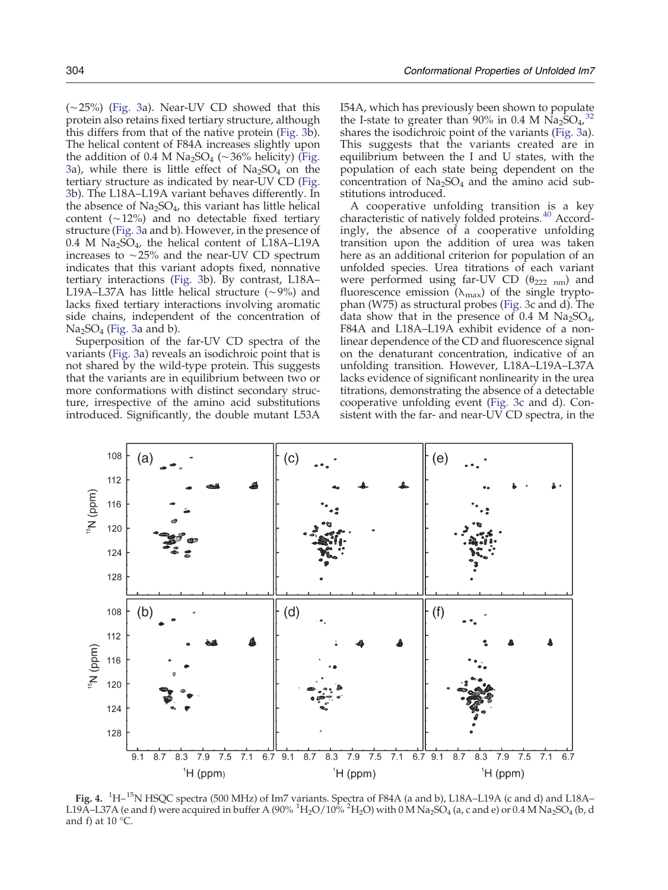<span id="page-5-0"></span>(∼25%) [\(Fig. 3a](#page-3-0)). Near-UV CD showed that this protein also retains fixed tertiary structure, although this differs from that of the native protein ([Fig. 3](#page-3-0)b). The helical content of F84A increases slightly upon the addition of 0.4 M Na<sub>2</sub>SO<sub>4</sub> (∼36% helicity) [\(Fig.](#page-3-0) [3a](#page-3-0)), while there is little effect of  $Na<sub>2</sub>SO<sub>4</sub>$  on the tertiary structure as indicated by near-UV CD [\(Fig.](#page-3-0) [3b](#page-3-0)). The L18A–L19A variant behaves differently. In the absence of  $Na<sub>2</sub>SO<sub>4</sub>$ , this variant has little helical content (∼12%) and no detectable fixed tertiary structure [\(Fig. 3a](#page-3-0) and b). However, in the presence of 0.4 M Na2SO<sup>4</sup> , the helical content of L18A–L19A increases to ∼25% and the near-UV CD spectrum indicates that this variant adopts fixed, nonnative tertiary interactions [\(Fig. 3b](#page-3-0)). By contrast, L18A– L19A–L37A has little helical structure (∼9%) and lacks fixed tertiary interactions involving aromatic side chains, independent of the concentration of  $\text{Na}_2\text{SO}_4$  [\(Fig. 3](#page-3-0)a and b).

Superposition of the far-UV CD spectra of the variants [\(Fig. 3](#page-3-0)a) reveals an isodichroic point that is not shared by the wild-type protein. This suggests that the variants are in equilibrium between two or more conformations with distinct secondary structure, irrespective of the amino acid substitutions introduced. Significantly, the double mutant L53A

I54A, which has previously been shown to populate the I-state to greater than 90% in 0.4 M  $\text{Na}_2\text{SO}_4$ [,](#page-17-0)<sup>[32](#page-17-0)</sup> shares the isodichroic point of the variants [\(Fig. 3](#page-3-0)a). This suggests that the variants created are in equilibrium between the I and U states, with the population of each state being dependent on the concentration of  $Na<sub>2</sub>SO<sub>4</sub>$  and the amino acid substitutions introduced.

A cooperative unfolding transition is a key characteristic of natively folded proteins[.](#page-17-0)<sup>[40](#page-17-0)</sup> Accordingly, the absence of a cooperative unfolding transition upon the addition of urea was taken here as an additional criterion for population of an unfolded species. Urea titrations of each variant were performed using far-UV CD  $(\theta_{222 \text{ nm}})$  and fluorescence emission ( $\lambda_{\text{max}}$ ) of the single tryptophan (W75) as structural probes [\(Fig. 3](#page-3-0)c and d). The data show that in the presence of 0.4 M  $Na<sub>2</sub>SO<sub>4</sub>$ , F84A and L18A–L19A exhibit evidence of a nonlinear dependence of the CD and fluorescence signal on the denaturant concentration, indicative of an unfolding transition. However, L18A–L19A–L37A lacks evidence of significant nonlinearity in the urea titrations, demonstrating the absence of a detectable cooperative unfolding event [\(Fig. 3](#page-3-0)c and d). Consistent with the far- and near-UV CD spectra, in the



Fig. 4. <sup>1</sup>H-<sup>15</sup>N HSQC spectra (500 MHz) of Im7 variants. Spectra of F84A (a and b), L18A-L19A (c and d) and L18A-L19A–L37A (e and f) were acquired in buffer A (90%  ${}^{1}H_{2}O/10{}^{7}o$   ${}^{2}H_{2}O$ ) with 0 M Na<sub>2</sub>SO<sub>4</sub> (a, c and e) or 0.4 M Na<sub>2</sub>SO<sub>4</sub> (b, d and f) at 10  $^{\circ}$ C.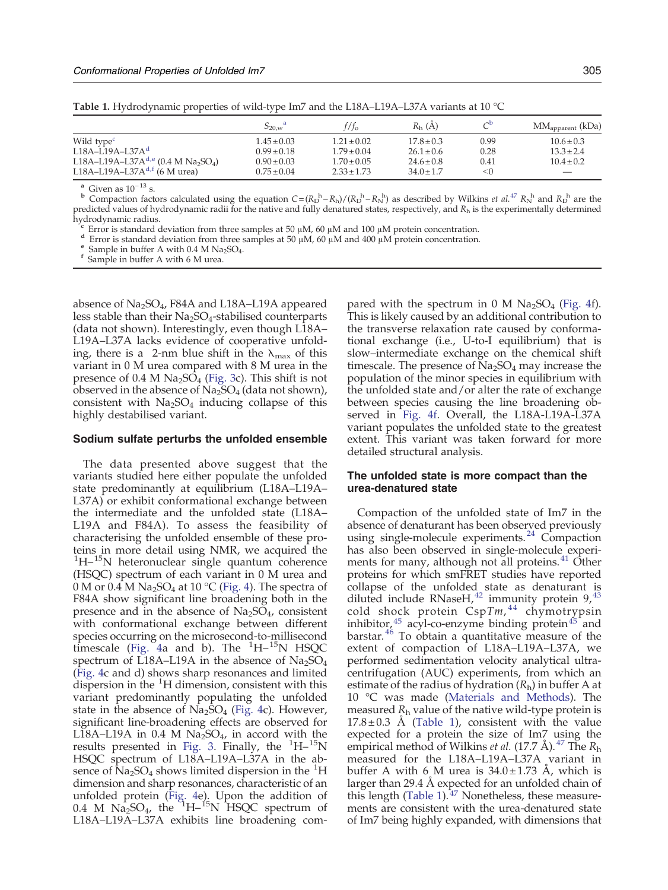<span id="page-6-0"></span>

|                                                                        | $S_{20,w}$ <sup>a</sup> | $7t_{\rm o}$    | $R_{h}$ (A)    | гÞ   | $MM_{\text{apparent}}$ (kDa) |
|------------------------------------------------------------------------|-------------------------|-----------------|----------------|------|------------------------------|
| Wild type <sup>c</sup>                                                 | $1.45 \pm 0.03$         | $1.21 \pm 0.02$ | $17.8 \pm 0.3$ | 0.99 | $10.6 \pm 0.3$               |
| $1.18A - 1.19A - 1.37Ad$                                               | $0.99 \pm 0.18$         | $1.79 \pm 0.04$ | $26.1 \pm 0.6$ | 0.28 | $13.3 \pm 2.4$               |
| L18A-L19A-L37A <sup>d,e</sup> (0.4 M Na <sub>2</sub> SO <sub>4</sub> ) | $0.90 \pm 0.03$         | $1.70 \pm 0.05$ | $24.6 \pm 0.8$ | 0.41 | $10.4 \pm 0.2$               |
| L18A-L19A-L37A <sup>d,f</sup> (6 M urea)                               | $0.75 \pm 0.04$         | $2.33 \pm 1.73$ | $34.0 \pm 1.7$ | < 0  | $\overline{\phantom{m}}$     |

<sup>a</sup> Given as  $10^{-13}$  s.

<sup>b</sup> Compaction factors calculated using the equation  $C = (R_D^h - R_h)/(R_D^h - R_N^h)$  as described by Wilkins *et al[.](#page-17-0)*<sup>[47](#page-17-0)</sup>  $R_N^h$  and  $R_D^h$  are the predicted values of hydrodynamic radii for the native and fully denatured states, respectively, and  $R_h$  is the experimentally determined hydrodynamic radius.

c Error is standard deviation from three samples at 50  $\mu$ M, 60  $\mu$ M and 100  $\mu$ M protein concentration.

<sup>d</sup> Error is standard deviation from three samples at 50 μM, 60 μM and 400 μM protein concentration.

Sample in buffer A with 0.4 M Na<sub>2</sub>SO<sub>4</sub>.

f Sample in buffer A with 6 M urea.

absence of Na<sub>2</sub>SO<sub>4</sub>, F84A and L18A–L19A appeared less stable than their  $Na<sub>2</sub>SO<sub>4</sub>$ -stabilised counterparts (data not shown). Interestingly, even though L18A– L19A–L37A lacks evidence of cooperative unfolding, there is a 2-nm blue shift in the  $\lambda_{\text{max}}$  of this variant in 0 M urea compared with 8 M urea in the presence of  $0.4 M Na<sub>2</sub>SO<sub>4</sub>$  ([Fig. 3](#page-3-0)c). This shift is not observed in the absence of  $Na<sub>2</sub>SO<sub>4</sub>$  (data not shown), consistent with  $Na<sub>2</sub>SO<sub>4</sub>$  inducing collapse of this highly destabilised variant.

#### Sodium sulfate perturbs the unfolded ensemble

The data presented above suggest that the variants studied here either populate the unfolded state predominantly at equilibrium (L18A–L19A– L37A) or exhibit conformational exchange between the intermediate and the unfolded state (L18A– L19A and F84A). To assess the feasibility of characterising the unfolded ensemble of these proteins in more detail using NMR, we acquired the <sup>1</sup>H-<sup>15</sup>N heteronuclear single quantum coherence (HSQC) spectrum of each variant in 0 M urea and 0 M or 0.4 M Na<sub>2</sub>SO<sub>4</sub> at 10 °C ([Fig. 4\)](#page-4-0). The spectra of F84A show significant line broadening both in the presence and in the absence of  $Na<sub>2</sub>SO<sub>4</sub>$ , consistent with conformational exchange between different species occurring on the microsecond-to-millisecond timescale ([Fig. 4a](#page-4-0) and b). The  $^{1}$ H- $^{15}$ N HSQC spectrum of L18A–L19A in the absence of  $Na<sub>2</sub>SO<sub>4</sub>$ [\(Fig. 4c](#page-4-0) and d) shows sharp resonances and limited dispersion in the  ${}^{1}H$  dimension, consistent with this variant predominantly populating the unfolded state in the absence of  $\text{Na}_2\text{SO}_4$  ([Fig. 4c](#page-4-0)). However, significant line-broadening effects are observed for L18A–L19A in 0.4 M  $Na<sub>2</sub>SO<sub>4</sub>$ , in accord with the results presented in [Fig. 3](#page-3-0). Finally, the  $\mathrm{^{1}H-^{15}N}$ HSQC spectrum of L18A–L19A–L37A in the absence of  $Na<sub>2</sub>SO<sub>4</sub>$  shows limited dispersion in the  ${}^{1}H$ dimension and sharp resonances, characteristic of an unfolded protein [\(Fig. 4e](#page-4-0)). Upon the addition of 0.4 M  $Na<sub>2</sub>SO<sub>4</sub>$ , the  $1H<sub>1</sub>$ <sup>15</sup>N HSQC spectrum of L18A–L19A–L37A exhibits line broadening compared with the spectrum in  $0 \text{ M } \text{Na}_2\text{SO}_4$  [\(Fig. 4](#page-4-0)f). This is likely caused by an additional contribution to the transverse relaxation rate caused by conformational exchange (i.e., U-to-I equilibrium) that is slow–intermediate exchange on the chemical shift timescale. The presence of  $\text{Na}_2\text{SO}_4$  may increase the population of the minor species in equilibrium with the unfolded state and/or alter the rate of exchange between species causing the line broadening observed in [Fig. 4f.](#page-4-0) Overall, the L18A-L19A-L37A variant populates the unfolded state to the greatest extent. This variant was taken forward for more detailed structural analysis.

# The unfolded state is more compact than the urea-denatured state

Compaction of the unfolded state of Im7 in the absence of denaturant has been observed previously using single-molecule experiments[.](#page-16-0)<sup>[24](#page-16-0)</sup> Compaction has also been observed in single-molecule experi-ments for many, although not all proteins[.](#page-17-0)<sup>[41](#page-17-0)</sup> Other proteins for which smFRET studies have reported collapse of the unfolded state as denaturant is diluted include RNaseH[,](#page-17-0) $42$  immunity protein 9, $43$ cold shock protein  $CspTm$ ,<sup>[44](#page-17-0)</sup> chymotrypsin inhibitor[,](#page-17-0)  $45$  acyl-co-e[n](#page-17-0)zyme binding protein  $45$  and barstar[.](#page-17-0) [46](#page-17-0) To obtain a quantitative measure of the extent of compaction of L18A–L19A–L37A, we performed sedimentation velocity analytical ultracentrifugation (AUC) experiments, from which an estimate of the radius of hydration  $(R<sub>h</sub>)$  in buffer A at 10 °C was made [\(Materials and Methods](#page-13-0)). The measured  $R<sub>h</sub>$  value of the native wild-type protein is  $17.8 \pm 0.3$  Å ([Table 1\)](#page-5-0), consistent with the value expected for a protein the size of Im7 using the empirical method of Wilkins *et al[.](#page-17-0)* (17.7 Å). <sup>[47](#page-17-0)</sup> The  $R_h$ measured for the L18A–L19A–L37A variant in buffer A with 6 M urea is  $34.0 \pm 1.73$  Å, which is larger than 29.4 Å expected for an unfolded chain of this length ([Table 1\)](#page-5-0)[.](#page-17-0) $47$  Nonetheless, these measurements are consistent with the urea-denatured state of Im7 being highly expanded, with dimensions that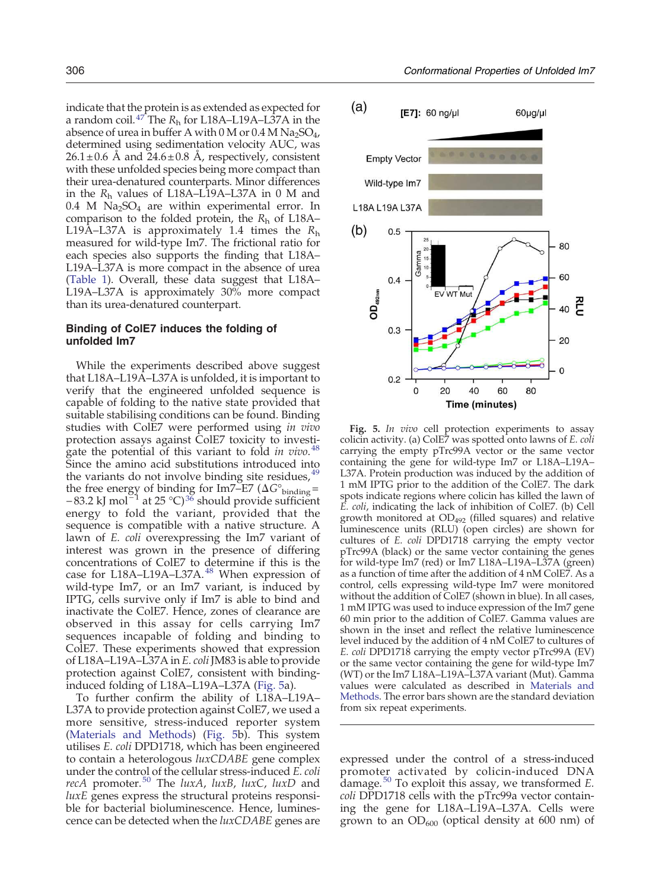<span id="page-7-0"></span>indicate that the protein is as extended as expected for a random coil[.](#page-17-0)<sup>[47](#page-17-0)</sup> The  $R_h$  for L18A–L19A–L37A in the absence of urea in buffer A with  $0$  M or  $0.4$  M Na<sub>2</sub>SO<sub>4</sub>, determined using sedimentation velocity AUC, was  $26.1 \pm 0.6$  Å and  $24.6 \pm 0.8$  Å, respectively, consistent with these unfolded species being more compact than their urea-denatured counterparts. Minor differences in the R<sup>h</sup> values of L18A–L19A–L37A in 0 M and 0.4 M  $\text{Na}_2\text{SO}_4$  are within experimental error. In comparison to the folded protein, the  $R_h$  of L18A– L19A–L37A is approximately 1.4 times the  $R_h$ measured for wild-type Im7. The frictional ratio for each species also supports the finding that L18A– L19A–L37A is more compact in the absence of urea [\(Table 1\)](#page-5-0). Overall, these data suggest that L18A– L19A–L37A is approximately 30% more compact than its urea-denatured counterpart.

# Binding of ColE7 induces the folding of unfolded Im7

While the experiments described above suggest that L18A–L19A–L37A is unfolded, it is important to verify that the engineered unfolded sequence is capable of folding to the native state provided that suitable stabilising conditions can be found. Binding studies with ColE7 were performed using in vivo protection assays against ColE7 toxicity to investi-gate the potential of this variant to fold in vivo[.](#page-17-0)<sup>[48](#page-17-0)</sup> Since the amino acid substitutions introduced into the variants do not involve binding site residues[,](#page-17-0) $4\overline{9}$ the free energy of binding for Im7–E7 ( $\Delta G^{\circ}$ <sub>binding</sub>=  $-83.2$  kJ mol<sup>-1</sup> at 25 °C[\)](#page-17-0)<sup>[36](#page-17-0)</sup> should provide sufficient energy to fold the variant, provided that the sequence is compatible with a native structure. A lawn of E. coli overexpressing the Im7 variant of interest was grown in the presence of differing concentrations of ColE7 to determine if this is the case for L18A–L19A–L37A[.](#page-17-0)<sup>[48](#page-17-0)</sup> When expression of wild-type Im7, or an Im7 variant, is induced by IPTG, cells survive only if Im7 is able to bind and inactivate the ColE7. Hence, zones of clearance are observed in this assay for cells carrying Im7 sequences incapable of folding and binding to ColE7. These experiments showed that expression of L18A–L19A–L37A in E. coli JM83 is able to provide protection against ColE7, consistent with bindinginduced folding of L18A–L19A–L37A ([Fig. 5a](#page-6-0)).

To further confirm the ability of L18A–L19A– L37A to provide protection against ColE7, we used a more sensitive, stress-induced reporter system [\(Materials and Methods](#page-13-0)) [\(Fig. 5](#page-6-0)b). This system utilises E. coli DPD1718, which has been engineered to contain a heterologous luxCDABE gene complex under the control of the cellular stress-induced E. coli recA promoter[.](#page-17-0)<sup>[50](#page-17-0)</sup> The luxA, luxB, luxC, luxD and luxE genes express the structural proteins responsible for bacterial bioluminescence. Hence, luminescence can be detected when the luxCDABE genes are



Fig. 5. In vivo cell protection experiments to assay colicin activity. (a) ColE7 was spotted onto lawns of E. coli carrying the empty pTrc99A vector or the same vector containing the gene for wild-type Im7 or L18A–L19A– L37A. Protein production was induced by the addition of 1 mM IPTG prior to the addition of the ColE7. The dark spots indicate regions where colicin has killed the lawn of E. coli, indicating the lack of inhibition of ColE7. (b) Cell growth monitored at  $OD_{492}$  (filled squares) and relative luminescence units (RLU) (open circles) are shown for cultures of E. coli DPD1718 carrying the empty vector pTrc99A (black) or the same vector containing the genes for wild-type Im7 (red) or Im7 L18A–L19A–L37A (green) as a function of time after the addition of 4 nM ColE7. As a control, cells expressing wild-type Im7 were monitored without the addition of ColE7 (shown in blue). In all cases, 1 mM IPTG was used to induce expression of the Im7 gene 60 min prior to the addition of ColE7. Gamma values are shown in the inset and reflect the relative luminescence level induced by the addition of 4 nM ColE7 to cultures of E. coli DPD1718 carrying the empty vector pTrc99A (EV) or the same vector containing the gene for wild-type Im7 (WT) or the Im7 L18A–L19A–L37A variant (Mut). Gamma values were calculated as described in [Materials and](#page-13-0) [Methods](#page-13-0). The error bars shown are the standard deviation from six repeat experiments.

expressed under the control of a stress-induced promoter activated by colicin-induced DNA damage[.](#page-17-0)<sup>[50](#page-17-0)</sup> To exploit this assay, we transformed  $E$ . coli DPD1718 cells with the pTrc99a vector containing the gene for L18A–L19A–L37A. Cells were grown to an  $OD_{600}$  (optical density at 600 nm) of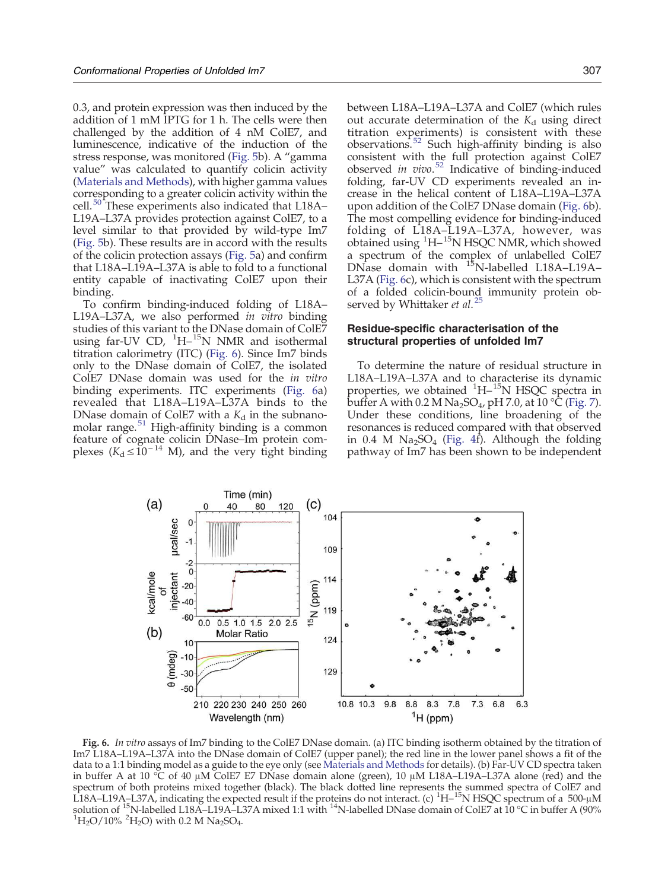<span id="page-8-0"></span>0.3, and protein expression was then induced by the addition of 1 mM IPTG for 1 h. The cells were then challenged by the addition of 4 nM ColE7, and luminescence, indicative of the induction of the stress response, was monitored ([Fig. 5](#page-6-0)b). A "gamma value" was calculated to quantify colicin activity [\(Materials and Methods\)](#page-13-0), with higher gamma values corresponding to a greater colicin activity within the cell[.](#page-17-0)<sup>[50](#page-17-0)</sup> These experiments also indicated that L18A-L19A–L37A provides protection against ColE7, to a level similar to that provided by wild-type Im7 [\(Fig. 5](#page-6-0)b). These results are in accord with the results of the colicin protection assays ([Fig. 5a](#page-6-0)) and confirm that L18A–L19A–L37A is able to fold to a functional entity capable of inactivating ColE7 upon their binding.

To confirm binding-induced folding of L18A– L19A–L37A, we also performed in vitro binding studies of this variant to the DNase domain of ColE7 using far-UV CD,  $^{1}$ H- $^{15}$ N NMR and isothermal titration calorimetry (ITC) [\(Fig. 6\)](#page-7-0). Since Im7 binds only to the DNase domain of ColE7, the isolated ColE7 DNase domain was used for the in vitro binding experiments. ITC experiments ([Fig. 6a](#page-7-0)) revealed that L18A–L19A–L37A binds to the DNase domain of ColE7 with a  $K_d$  in the subnano-molar range[.](#page-17-0) $51$  High-affinity binding is a common feature of cognate colicin DNase–Im protein com-<br>plexes ( $K_d \le 10^{-14}$  M), and the very tight binding

between L18A–L19A–L37A and ColE7 (which rules out accurate determination of the  $K_d$  using direct titration experiments) is consistent with these observations[.](#page-17-0)<sup>[52](#page-17-0)</sup> Such high-affinity binding is also consistent with the full protection against ColE7 observed in vivo[.](#page-17-0)<sup>[52](#page-17-0)</sup> Indicative of binding-induced folding, far-UV CD experiments revealed an increase in the helical content of L18A–L19A–L37A upon addition of the ColE7 DNase domain ([Fig. 6](#page-7-0)b). The most compelling evidence for binding-induced folding of L18A–L19A–L37A, however, was obtained using <sup>1</sup>H-<sup>15</sup>N HSQC NMR, which showed a spectrum of the complex of unlabelled ColE7 DNase domain with <sup>15</sup>N-labelled L18A-L19A-L37A ([Fig. 6](#page-7-0)c), which is consistent with the spectrum

# Residue-specific characterisation of the structural properties of unfolded Im7

served by Whittaker et al[.](#page-16-0)<sup>[25](#page-16-0)</sup>

To determine the nature of residual structure in L18A–L19A–L37A and to characterise its dynamic properties, we obtained <sup>1</sup>H-<sup>15</sup>N HSQC spectra in buffer A with 0.2 M Na<sub>2</sub>SO<sub>4</sub>, pH 7.0, at 10 °C (Fig. 7). Under these conditions, line broadening of the resonances is reduced compared with that observed in 0.4 M  $Na<sub>2</sub>SO<sub>4</sub>$  [\(Fig. 4f](#page-4-0)). Although the folding pathway of Im7 has been shown to be independent

of a folded colicin-bound immunity protein ob-



Fig. 6. In vitro assays of Im7 binding to the ColE7 DNase domain. (a) ITC binding isotherm obtained by the titration of Im7 L18A–L19A–L37A into the DNase domain of ColE7 (upper panel); the red line in the lower panel shows a fit of the data to a 1:1 binding model as a guide to the eye only (see [Materials and Methods](#page-13-0) for details). (b) Far-UV CD spectra taken in buffer A at 10 °C of 40 μM ColE7 E7 DNase domain alone (green), 10 μM L18A–L19A–L37A alone (red) and the spectrum of both proteins mixed together (black). The black dotted line represents the summed spectra of ColE7 and<br>L18A–L19A–L37A, indicating the expected result if the proteins do not interact. (c) <sup>1</sup>H–<sup>15</sup>N HSQC spectru solution of <sup>15</sup>N-labelled L18A–L19A–L37A mixed 1:1 with <sup>14</sup>N-labelled DNase domain of ColE7 at 10 °C in buffer A (90%  $^{1}H_{2}O/10\%$  <sup>2</sup>H<sub>2</sub>O) with 0.2 M Na<sub>2</sub>SO<sub>4</sub>.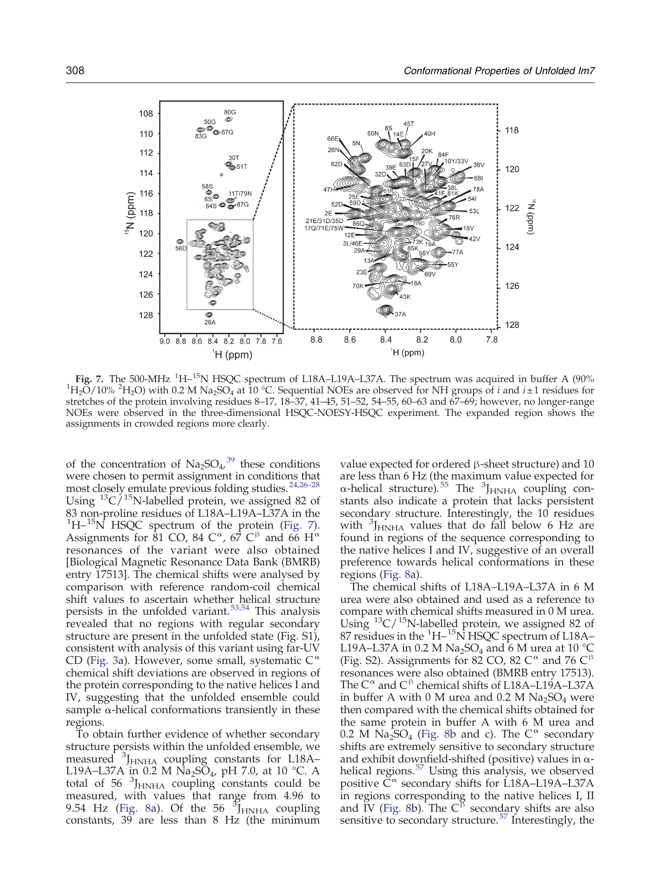<span id="page-9-0"></span>

Fig. 7. The 500-MHz <sup>1</sup>H-<sup>15</sup>N HSQC spectrum of L18A-L19A-L37A. The spectrum was acquired in buffer A (90%  ${}^{1}H_{2}O/10\%$   ${}^{2}H_{2}O$ ) with 0.2 M Na<sub>2</sub>SO<sub>4</sub> at 10 °C. Sequential NOEs are observed for NH groups of *i* and *i* ± 1 residues for stretches of the protein involving residues 8–17, 18–37, 41–45, 51–52, 54–55, 60–63 and 67–69; however, no longer-range NOEs were observed in the three-dimensional HSQC-NOESY-HSQC experiment. The expanded region shows the assignments in crowded regions more clearly.

of the concentration of  $\text{Na}_2\text{SO}_4$ [,](#page-17-0)<sup>[39](#page-17-0)</sup> these conditions were chosen to permit assignment in conditions that most closely emulate previous folding studies[.](#page-16-0)<sup>[24,26](#page-16-0)-28</sup> Using  ${}^{13}C/{}^{15}N$ -labelled protein, we assigned 82 of 83 non-proline residues of L18A–L19A–L37A in the  ${}^{1}$ H– ${}^{15}$ N HSQC spectrum of the protein ([Fig. 7\)](#page-8-0). Assignments for 81 CO, 84 C<sup> $\alpha$ </sup>, 67 C<sup>β</sup> and 66 H<sup> $\alpha$ </sup> resonances of the variant were also obtained [Biological Magnetic Resonance Data Bank (BMRB) entry 17513]. The chemical shifts were analysed by comparison with reference random-coil chemical shift values to ascertain whether helical structure persists in the unfolded variant[.](#page-17-0)<sup>[53,54](#page-17-0)</sup> This analysis revealed that no regions with regular secondary structure are present in the unfolded state (Fig. S1), consistent with analysis of this variant using far-UV CD ([Fig. 3a](#page-3-0)). However, some small, systematic  $C^{\alpha}$ chemical shift deviations are observed in regions of the protein corresponding to the native helices I and IV, suggesting that the unfolded ensemble could sample  $\alpha$ -helical conformations transiently in these regions.

To obtain further evidence of whether secondary structure persists within the unfolded ensemble, we measured <sup>3</sup>J<sub>HNHA</sub> coupling constants for L18A-L19A–L37A in 0.2 M Na<sub>2</sub>SO<sub>4</sub>, pH 7.0, at 10 °C. A total of  $56\text{ }^{3}\text{J}_{\text{HNHA}}$  coupling constants could be measured, with values that range from 4.96 to 9.54 Hz (Fig. 8a). Of the 56  $\frac{3}{3}$ <sub>HNHA</sub> coupling constants, 39 are less than 8 Hz (the minimum value expected for ordered β-sheet structure) and 10 are less than 6 Hz (the maximum value expected for α-helical structure)[.](#page-17-0)<sup>[55](#page-17-0)</sup> The  ${}^{3}$ J<sub>HNHA</sub> coupling constants also indicate a protein that lacks persistent secondary structure. Interestingly, the 10 residues with  ${}^{3}$ J<sub>HNHA</sub> values that do fall below 6 Hz are found in regions of the sequence corresponding to the native helices I and IV, suggestive of an overall preference towards helical conformations in these regions (Fig. 8a).

The chemical shifts of L18A–L19A–L37A in 6 M urea were also obtained and used as a reference to compare with chemical shifts measured in 0 M urea. Using  ${}^{13}C/{}^{15}N$ -labelled protein, we assigned 82 of 87 residues in the  ${}^{1}H-{}^{15}N$  HSQC spectrum of L18A-L19A–L37A in 0.2 M Na<sub>2</sub>SO<sub>4</sub> and 6 M urea at 10 °C (Fig. S2). Assignments for 82 CO, 82 C $^{\alpha}$  and 76 C $^{\beta}$ resonances were also obtained (BMRB entry 17513). The  $C^{\alpha}$  and  $C^{\beta}$  chemical shifts of L18A–L19A–L37A in buffer A with 0 M urea and 0.2 M  $Na<sub>2</sub>SO<sub>4</sub>$  were then compared with the chemical shifts obtained for the same protein in buffer A with 6 M urea and 0.2 M  $Na<sub>2</sub>SO<sub>4</sub>$  (Fig. 8b and c). The C<sup> $\alpha$ </sup> secondary shifts are extremely sensitive to secondary structure and exhibit downfield-shifted (positive) values in α-helical regions[.](#page-17-0)  $57$  Using this analysis, we observed positive  $\check{C}^{\alpha}$  secondary shifts for L18A–L19A–L37A in regions corresponding to the native helices I, II and IV (Fig. 8b). The  $C^{\beta}$  secondary shifts are also sensitive to secondary structure[.](#page-17-0)<sup>[57](#page-17-0)</sup> Interestingly, the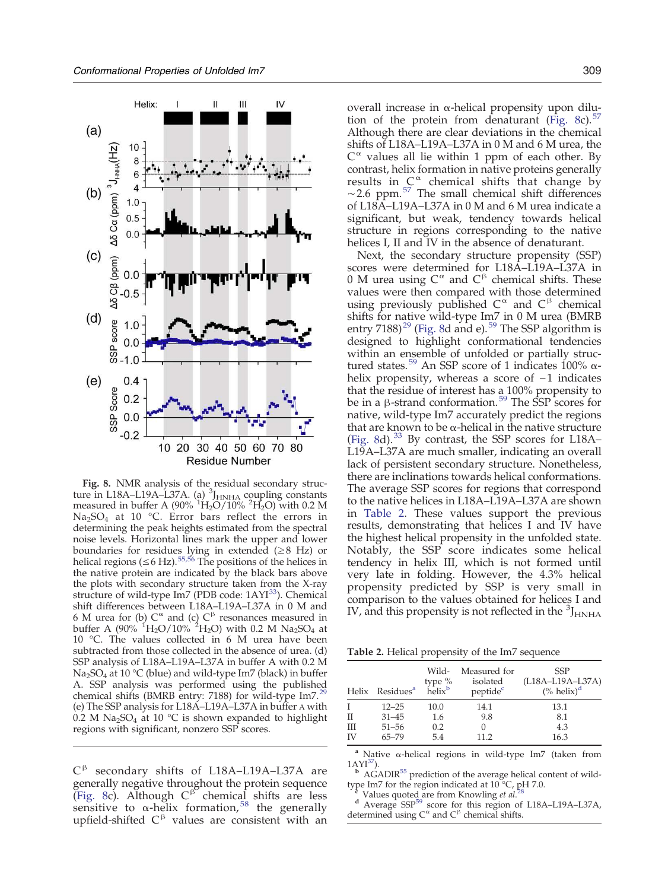<span id="page-10-0"></span>

Fig. 8. NMR analysis of the residual secondary structure in L18A–L19A–L37A. (a)  ${}^{3}J_{HNHA}$  coupling constants measured in buffer A (90%  $\rm ^1H_2O/10\%$  <sup>2</sup>H<sub>2</sub>O) with 0.2 M Na2SO<sup>4</sup> at 10 °C. Error bars reflect the errors in determining the peak heights estimated from the spectral noise levels. Horizontal lines mark the upper and lower boundaries for residues lying in extended ( $\geq$ 8 Hz) or helical regions ( $\leq 6$  Hz)[.](#page-17-0)<sup>[55,56](#page-17-0)</sup> The positions of the helices in the native protein are indicated by the black bars above the plots with secondary structure taken from the X-ray structure of wild-type [I](#page-17-0)m7 (PDB code:  $1AYI^{33}$  $1AYI^{33}$  $1AYI^{33}$ ). Chemical shift differences between L18A–L19A–L37A in 0 M and 6 M urea for (b)  $C^{\alpha}$  and (c)  $C^{\beta}$  resonances measured in buffer A (90%  $^{1}H_{2}O/10\%$   $^{2}H_{2}O$ ) with 0.2 M Na<sub>2</sub>SO<sub>4</sub> at 10 °C. The values collected in 6 M urea have been subtracted from those collected in the absence of urea. (d) SSP analysis of L18A–L19A–L37A in buffer A with 0.2 M Na<sub>2</sub>SO<sub>4</sub> at 10 °C (blue) and wild-type Im7 (black) in buffer A. SSP analysis was performed using the published chemical shifts (BMRB entry: 7188) for wild-type  $Im 7<sup>29</sup>$  $Im 7<sup>29</sup>$  $Im 7<sup>29</sup>$ (e) The SSP analysis for L18A–L19A–L37A in buffer A with 0.2 M Na<sub>2</sub>SO<sub>4</sub> at 10 °C is shown expanded to highlight regions with significant, nonzero SSP scores.

C β secondary shifts of L18A–L19A–L37A are generally negative throughout the protein sequence [\(Fig. 8](#page-9-0)c). Although  $C<sup>β</sup>$  chemical shifts are less sensitive to  $\alpha$ -helix formation[,](#page-17-0)<sup>[58](#page-17-0)</sup> the generally upfield-shifted  $C^{\beta}$  values are consistent with an

overall increase in α-helical propensity upon dilu-tion of the protein from denaturant [\(Fig. 8c](#page-9-0))[.](#page-17-0) $5$ Although there are clear deviations in the chemical shifts of L18A–L19A–L37A in 0 M and 6 M urea, the  $C^{\alpha}$  values all lie within 1 ppm of each other. By contrast, helix formation in native proteins generally results in  $C^{\alpha}$  chemical shifts that change by  $~\sim$ 2[.](#page-17-0)6 ppm.<sup>[57](#page-17-0)</sup> The small chemical shift differences of L18A–L19A–L37A in 0 M and 6 M urea indicate a significant, but weak, tendency towards helical structure in regions corresponding to the native helices I, II and IV in the absence of denaturant.

Next, the secondary structure propensity (SSP) scores were determined for L18A–L19A–L37A in 0 M urea using  $C^{\alpha}$  and  $C^{\beta}$  chemical shifts. These values were then compared with those determined using previously published  $C^{\alpha}$  and  $C^{\beta}$  chemical shifts for native wild-type Im7 in 0 M urea (BMRB entry  $7188$ [\)](#page-17-0)<sup>[29](#page-17-0)</sup> ([Fig. 8d](#page-9-0) and e)[.](#page-18-0)<sup>[59](#page-18-0)</sup> The SSP algorithm is designed to highlight conformational tendencies within an ensemble of unfolded or partially struc-tured states[.](#page-18-0)<sup>[59](#page-18-0)</sup> An SSP score of 1 indicates 100% αhelix propensity, whereas a score of −1 indicates that the residue of interest has a 100% propensity to be in a β-strand conformation[.](#page-18-0)<sup>[59](#page-18-0)</sup> The SSP scores for native, wild-type Im7 accurately predict the regions that are known to be α-helical in the native structure ([Fig. 8d](#page-9-0))[.](#page-17-0) $^{33}$  $^{33}$  $^{33}$  By contrast, the SSP scores for L18A– L19A–L37A are much smaller, indicating an overall lack of persistent secondary structure. Nonetheless, there are inclinations towards helical conformations. The average SSP scores for regions that correspond to the native helices in L18A–L19A–L37A are shown in [Table 2.](#page-9-0) These values support the previous results, demonstrating that helices I and IV have the highest helical propensity in the unfolded state. Notably, the SSP score indicates some helical tendency in helix III, which is not formed until very late in folding. However, the 4.3% helical propensity predicted by SSP is very small in comparison to the values obtained for helices I and IV, and this propensity is not reflected in the  $\rm{^{3}J_{HNHA}}$ 

Table 2. Helical propensity of the Im7 sequence

|    | Helix Residues <sup>a</sup> | Wild-<br>type %<br>helix <sup>b</sup> | Measured for<br>isolated<br>peptide <sup>c</sup> | <b>SSP</b><br>$(L18A-L19A-L37A)$<br>(% helix) <sup>d</sup> |
|----|-----------------------------|---------------------------------------|--------------------------------------------------|------------------------------------------------------------|
| T  | $12 - 25$                   | 10.0                                  | 14.1                                             | 13.1                                                       |
| П  | $31 - 45$                   | 1.6                                   | 9.8                                              | 8.1                                                        |
| Ш  | $51 - 56$                   | 0.2                                   |                                                  | 4.3                                                        |
| ΙV | $65 - 79$                   | 5.4                                   | 11 2                                             | 16.3                                                       |

<sup>a</sup> Native α-helical regions in wild-type Im7 (taken from  $1AYI^{37}$  $1AYI^{37}$  $1AYI^{37}$  $1AYI^{37}$  $1AYI^{37}$ ).

 $<sup>b</sup>$  AGADI[R](#page-17-0)<sup>[55](#page-17-0)</sup> prediction of the average helical content of wild-</sup> type Im7 for the region indicated at 10 °C, pH 7.0.<br><sup>5</sup> Values quoted are from Knowling *et al*  $^{28}$  $^{28}$  $^{28}$ 

Values quoted are from Knowling et al[.](#page-16-0)

d Average SS[P](#page-18-0)<sup>[59](#page-18-0)</sup> score for this region of L18A–L19A–L37A, determined using  $C^{\alpha}$  and  $C^{\beta}$  chemical shifts.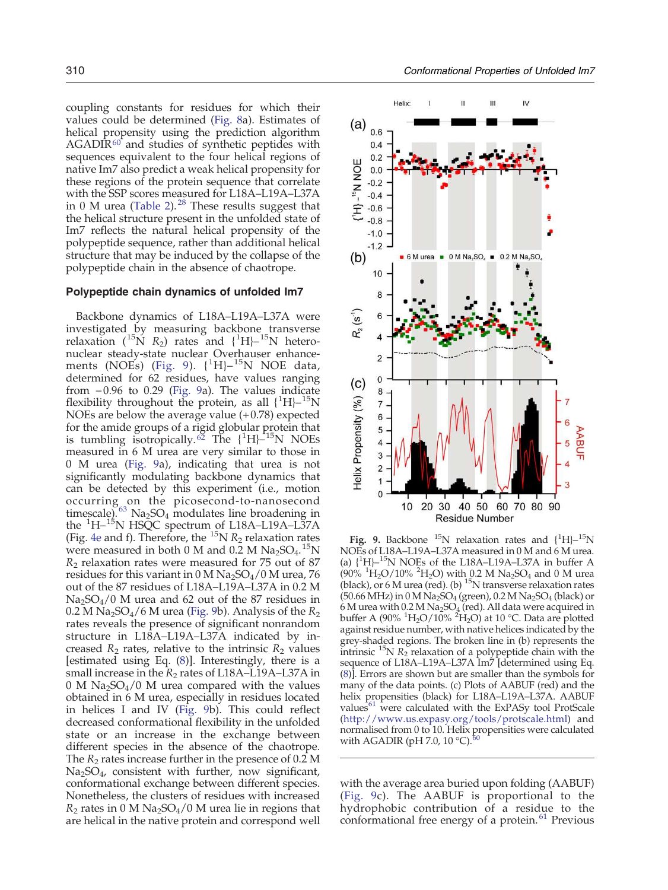coupling constants for residues for which their values could be determined [\(Fig. 8](#page-9-0)a). Estimates of helical propensity using the prediction algorithm  $AGADIR<sup>60</sup>$  $AGADIR<sup>60</sup>$  $AGADIR<sup>60</sup>$  $AGADIR<sup>60</sup>$  $AGADIR<sup>60</sup>$  and studies of synthetic peptides with sequences equivalent to the four helical regions of native Im7 also predict a weak helical propensity for these regions of the protein sequence that correlate with the SSP scores measured for L18A–L19A–L37A in 0 M urea [\(Table 2\)](#page-9-0)[.](#page-16-0) $^{28}$  $^{28}$  $^{28}$  These results suggest that the helical structure present in the unfolded state of Im7 reflects the natural helical propensity of the polypeptide sequence, rather than additional helical structure that may be induced by the collapse of the polypeptide chain in the absence of chaotrope.

## Polypeptide chain dynamics of unfolded Im7

Backbone dynamics of L18A–L19A–L37A were investigated by measuring backbone transverse relaxation ( $^{15}$ N R<sub>2</sub>) rates and {<sup>1</sup>H}<sup>-15</sup>N heteronuclear steady-state nuclear Overhauser enhance-ments (NOEs) ([Fig. 9\)](#page-10-0).  $\{^1\text{H}\}$ - $^{15}\text{N}$  NOE data, determined for 62 residues, have values ranging from −0.96 to 0.29 [\(Fig. 9](#page-10-0)a). The values indicate flexibility throughout the protein, as all  ${^{1}H}$  $^{15}N$ NOEs are below the average value  $(+0.78)$  expected for the amide groups of a rigid globular protein that is tumbling isotropically[.](#page-18-0)<sup>[62](#page-18-0)</sup> The  $\{^1H\}^{-15}N$  NOEs measured in 6 M urea are very similar to those in 0 M urea [\(Fig. 9a](#page-10-0)), indicating that urea is not significantly modulating backbone dynamics that can be detected by this experiment (i.e., motion occurring on the picosecond-to-nanosecond timescale)[.](#page-18-0)<sup>[63](#page-18-0)</sup> Na<sub>2</sub>SO<sub>4</sub> modulates line broadening in the  ${}^{1}$ H- ${}^{15}$ N HSQC spectrum of L18A-L19A-L37A (Fig. [4e](#page-4-0) and f). Therefore, the  $^{15}N R_2$  relaxation rates were measured in both 0 M and  $0.\overline{2}$  M Na<sub>2</sub>SO<sub>4</sub>.<sup>15</sup>N  $R<sub>2</sub>$  relaxation rates were measured for 75 out of 87 residues for this variant in  $0 \text{ M Na}_2\text{SO}_4/0 \text{ M}$  urea, 76 out of the 87 residues of L18A–L19A–L37A in 0.2 M Na2SO4/0 M urea and 62 out of the 87 residues in 0.2 M Na<sub>2</sub>SO<sub>4</sub>/6 M urea ([Fig. 9b](#page-10-0)). Analysis of the  $R_2$ rates reveals the presence of significant nonrandom structure in L18A–L19A–L37A indicated by increased  $R_2$  rates, relative to the intrinsic  $R_2$  values [estimated using Eq. [\(8](#page-15-0))]. Interestingly, there is a small increase in the  $R_2$  rates of L18A–L19A–L37A in 0 M  $\text{Na}_2\text{SO}_4$ /0 M urea compared with the values obtained in 6 M urea, especially in residues located in helices I and IV ([Fig. 9b](#page-10-0)). This could reflect decreased conformational flexibility in the unfolded state or an increase in the exchange between different species in the absence of the chaotrope. The  $R_2$  rates increase further in the presence of 0.2 M Na2SO<sup>4</sup> , consistent with further, now significant, conformational exchange between different species. Nonetheless, the clusters of residues with increased  $R_2$  rates in 0 M Na<sub>2</sub>SO<sub>4</sub>/0 M urea lie in regions that are helical in the native protein and correspond well



Fig. 9. Backbone  $^{15}N$  relaxation rates and  ${^{1}H}$  $-{}^{15}N$ NOEs of L18A–L19A–L37A measured in 0 M and 6 M urea. (a)  $\binom{1}{1}$ -<sup>15</sup>N NOEs of the L18A-L19A-L37A in buffer A  $(90\%~^{1}H_{2}O/10\%~^{2}H_{2}O)$  with 0.2 M Na<sub>2</sub>SO<sub>4</sub> and 0 M urea (black), or 6 M urea (red). (b)  $^{15}N$  transverse relaxation rates  $(50.66 \text{ MHz})$  in  $0 \text{ M Na}_2\text{SO}_4$  (green),  $0.2 \text{ M Na}_2\text{SO}_4$  (black) or 6 M urea with 0.2 M Na<sub>2</sub>SO<sub>4</sub> (red). All data were acquired in buffer A (90%  ${}^{1}H_{2}O/10\%$   ${}^{2}H_{2}O$ ) at 10 °C. Data are plotted against residue number, with native helices indicated by the grey-shaded regions. The broken line in (b) represents the intrinsic  ${}^{15}N R_2$  relaxation of a polypeptide chain with the sequence of L18A–L19A–L37A Im7 [determined using Eq. [\(8\)](#page-15-0)]. Errors are shown but are smaller than the symbols for many of the data points. (c) Plots of AABUF (red) and the helix propensities (black) for L18A–L19A–L37A. AABUF value[s](#page-18-0) $61$  were calculated with the ExPASy tool ProtScale [\(http://www.us.expasy.org/tools/protscale.html](http://www.us.expasy.org/tools/protscale.html)) and normalised from 0 to 10. Helix propensities were calculated with AGADIR (pH 7[.](#page-18-0)0, 10  $^{\circ}$ C).

with the average area buried upon folding (AABUF) ([Fig. 9](#page-10-0)c). The AABUF is proportional to the hydrophobic contribution of a residue to the conformational free energy of a protein[.](#page-18-0)<sup>[61](#page-18-0)</sup> Previous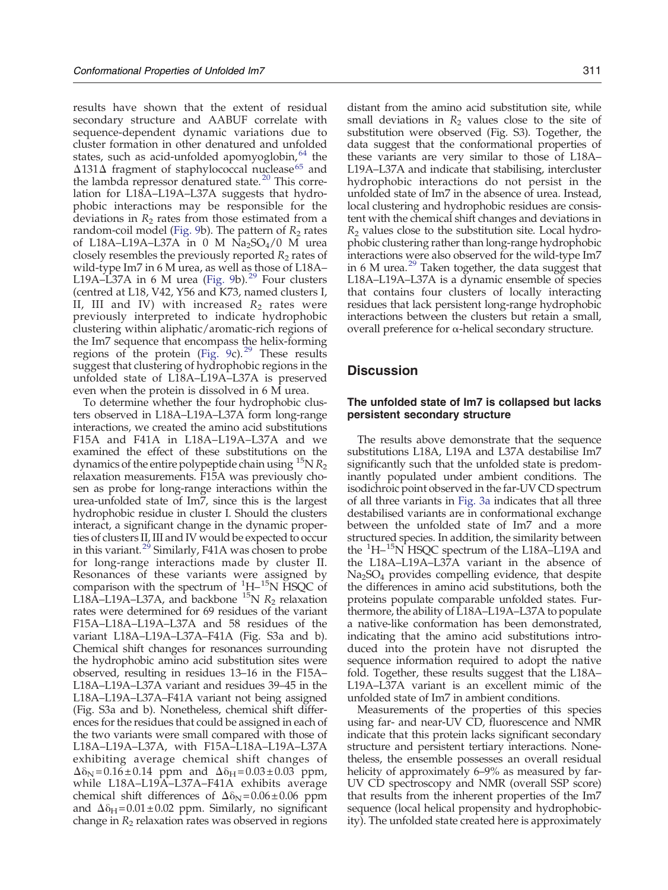results have shown that the extent of residual secondary structure and AABUF correlate with sequence-dependent dynamic variations due to cluster formation in other denatured and unfolded states[,](#page-18-0) such as acid-unfolded apomyoglobin, <sup>[64](#page-18-0)</sup> the Δ131Δ fragment of staphylococcal nuclease[65](#page-18-0) and the lambda repressor denatured state[.](#page-16-0)<sup>[20](#page-16-0)</sup> This correlation for L18A–L19A–L37A suggests that hydrophobic interactions may be responsible for the deviations in  $R<sub>2</sub>$  rates from those estimated from a random-coil model ([Fig. 9b](#page-10-0)). The pattern of  $R_2$  rates of L18A–L19A–L37A in 0 M  $\overline{Na_2SO_4}/0$  M urea closely resembles the previously reported  $R_2$  rates of wild-type Im7 in 6 M urea, as well as those of L18A-L19A–L37A in 6 M urea [\(Fig. 9b](#page-10-0))[.](#page-17-0)<sup>[29](#page-17-0)</sup> Four clusters (centred at L18, V42, Y56 and K73, named clusters I, II, III and IV) with increased  $R_2$  rates were previously interpreted to indicate hydrophobic clustering within aliphatic/aromatic-rich regions of the Im7 sequence that encompass the helix-forming regions of the protein [\(Fig. 9c](#page-10-0))[.](#page-17-0)<sup>[29](#page-17-0)</sup> These results suggest that clustering of hydrophobic regions in the unfolded state of L18A–L19A–L37A is preserved even when the protein is dissolved in 6 M urea.

To determine whether the four hydrophobic clusters observed in L18A–L19A–L37A form long-range interactions, we created the amino acid substitutions F15A and F41A in L18A–L19A–L37A and we examined the effect of these substitutions on the dynamics of the entire polypeptide chain using  $^{15}N R_2$ relaxation measurements. F15A was previously chosen as probe for long-range interactions within the urea-unfolded state of Im7, since this is the largest hydrophobic residue in cluster I. Should the clusters interact, a significant change in the dynamic properties of clusters II, III and IV would be expected to occur in this variant[.](#page-17-0)<sup>[29](#page-17-0)</sup> Similarly, F41A was chosen to probe for long-range interactions made by cluster II. Resonances of these variants were assigned by comparison with the spectrum of  $\rm{^{1}H-^{15}N}$  HSQC of L18A–L19A–L37A, and backbone  $^{15}N R_2$  relaxation rates were determined for 69 residues of the variant F15A–L18A–L19A–L37A and 58 residues of the variant L18A–L19A–L37A–F41A (Fig. S3a and b). Chemical shift changes for resonances surrounding the hydrophobic amino acid substitution sites were observed, resulting in residues 13–16 in the F15A– L18A–L19A–L37A variant and residues 39–45 in the L18A–L19A–L37A–F41A variant not being assigned (Fig. S3a and b). Nonetheless, chemical shift differences for the residues that could be assigned in each of the two variants were small compared with those of L18A–L19A–L37A, with F15A–L18A–L19A–L37A exhibiting average chemical shift changes of  $\Delta\delta_{\text{N}} = 0.16 \pm 0.14$  ppm and  $\Delta\delta_{\text{H}} = 0.03 \pm 0.03$  ppm, while L18A–L19A–L37A–F41A exhibits average chemical shift differences of  $\Delta\delta$ <sub>N</sub> = 0.06 ± 0.06 ppm and  $\Delta\delta_H = 0.01 \pm 0.02$  ppm. Similarly, no significant change in  $R_2$  relaxation rates was observed in regions distant from the amino acid substitution site, while small deviations in  $R_2$  values close to the site of substitution were observed (Fig. S3). Together, the data suggest that the conformational properties of these variants are very similar to those of L18A– L19A–L37A and indicate that stabilising, intercluster hydrophobic interactions do not persist in the unfolded state of Im7 in the absence of urea. Instead, local clustering and hydrophobic residues are consistent with the chemical shift changes and deviations in  $R<sub>2</sub>$  values close to the substitution site. Local hydrophobic clustering rather than long-range hydrophobic interactions were also observed for the wild-type Im7 in 6 M urea[.](#page-17-0) $^{29}$  $^{29}$  $^{29}$  Taken together, the data suggest that L18A–L19A–L37A is a dynamic ensemble of species that contains four clusters of locally interacting residues that lack persistent long-range hydrophobic interactions between the clusters but retain a small, overall preference for α-helical secondary structure.

# **Discussion**

## The unfolded state of Im7 is collapsed but lacks persistent secondary structure

The results above demonstrate that the sequence substitutions L18A, L19A and L37A destabilise Im7 significantly such that the unfolded state is predominantly populated under ambient conditions. The isodichroic point observed in the far-UV CD spectrum of all three variants in [Fig. 3a](#page-3-0) indicates that all three destabilised variants are in conformational exchange between the unfolded state of Im7 and a more structured species. In addition, the similarity between the <sup>1</sup>H-<sup>15</sup>N HSQC spectrum of the L18A-L19A and the L18A–L19A–L37A variant in the absence of Na2SO<sup>4</sup> provides compelling evidence, that despite the differences in amino acid substitutions, both the proteins populate comparable unfolded states. Furthermore, the ability of L18A–L19A–L37A to populate a native-like conformation has been demonstrated, indicating that the amino acid substitutions introduced into the protein have not disrupted the sequence information required to adopt the native fold. Together, these results suggest that the L18A– L19A–L37A variant is an excellent mimic of the unfolded state of Im7 in ambient conditions.

Measurements of the properties of this species using far- and near-UV CD, fluorescence and NMR indicate that this protein lacks significant secondary structure and persistent tertiary interactions. Nonetheless, the ensemble possesses an overall residual helicity of approximately 6–9% as measured by far-UV CD spectroscopy and NMR (overall SSP score) that results from the inherent properties of the Im7 sequence (local helical propensity and hydrophobicity). The unfolded state created here is approximately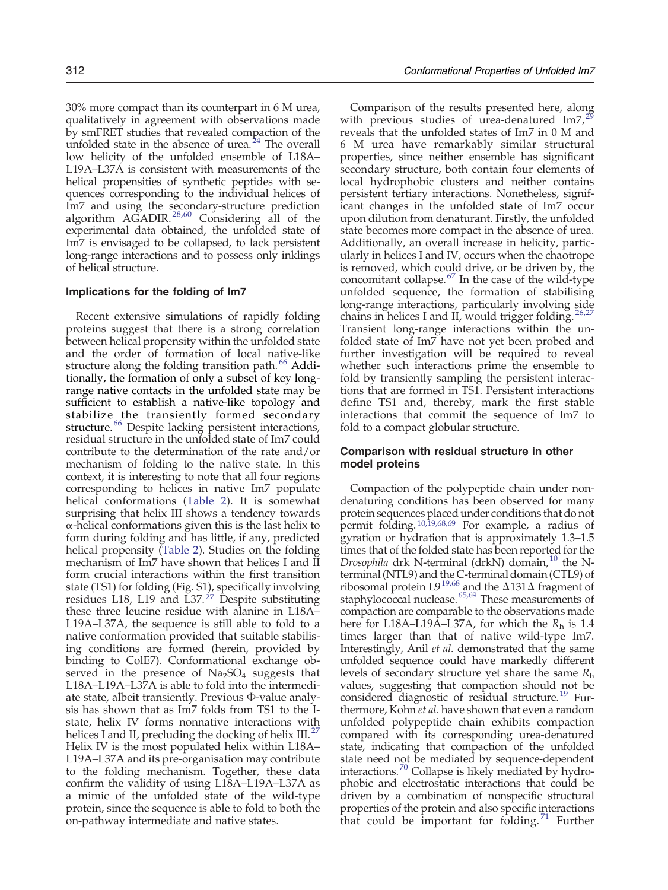<span id="page-13-0"></span>30% more compact than its counterpart in 6 M urea, qualitatively in agreement with observations made by smFRET studies that revealed compaction of the unfolded state in the absence of urea[.](#page-16-0) $24$  The overall low helicity of the unfolded ensemble of L18A– L19A–L37A is consistent with measurements of the helical propensities of synthetic peptides with sequences corresponding to the individual helices of Im7 and using the secondary-structure prediction algorithm AGADIR[.](#page-16-0)<sup>[28,60](#page-16-0)</sup> Considering all of the experimental data obtained, the unfolded state of Im7 is envisaged to be collapsed, to lack persistent long-range interactions and to possess only inklings of helical structure.

## Implications for the folding of Im7

Recent extensive simulations of rapidly folding proteins suggest that there is a strong correlation between helical propensity within the unfolded state and the order of formation of local native-like structure along the folding transition path[.](#page-18-0)<sup>[66](#page-18-0)</sup> Additionally, the formation of only a subset of key longrange native contacts in the unfolded state may be sufficient to establish a native-like topology and stabilize the transiently formed secondary structure[.](#page-18-0)<sup>[66](#page-18-0)</sup> Despite lacking persistent interactions, residual structure in the unfolded state of Im7 could contribute to the determination of the rate and/or mechanism of folding to the native state. In this context, it is interesting to note that all four regions corresponding to helices in native Im7 populate helical conformations ([Table 2](#page-9-0)). It is somewhat surprising that helix III shows a tendency towards α-helical conformations given this is the last helix to form during folding and has little, if any, predicted helical propensity ([Table 2](#page-9-0)). Studies on the folding mechanism of Im7 have shown that helices I and II form crucial interactions within the first transition state (TS1) for folding (Fig. S1), specifically involving residues L18, L19 and L37[.](#page-16-0)<sup>[27](#page-16-0)</sup> Despite substituting these three leucine residue with alanine in L18A– L19A–L37A, the sequence is still able to fold to a native conformation provided that suitable stabilising conditions are formed (herein, provided by binding to ColE7). Conformational exchange observed in the presence of  $Na<sub>2</sub>SO<sub>4</sub>$  suggests that L18A–L19A–L37A is able to fold into the intermediate state, albeit transiently. Previous Φ-value analysis has shown that as Im7 folds from TS1 to the Istate, helix IV forms nonnative interactions with helices I and II, precluding the docking of helix  $III<sup>27</sup>$  $III<sup>27</sup>$  $III<sup>27</sup>$ Helix IV is the most populated helix within L18A– L19A–L37A and its pre-organisation may contribute to the folding mechanism. Together, these data confirm the validity of using L18A–L19A–L37A as a mimic of the unfolded state of the wild-type protein, since the sequence is able to fold to both the on-pathway intermediate and native states.

Comparison of the results presented here, along with previous studies of urea-denatured  $\text{Im}7.29$  $\text{Im}7.29$ reveals that the unfolded states of Im7 in 0 M and 6 M urea have remarkably similar structural properties, since neither ensemble has significant secondary structure, both contain four elements of local hydrophobic clusters and neither contains persistent tertiary interactions. Nonetheless, significant changes in the unfolded state of Im7 occur upon dilution from denaturant. Firstly, the unfolded state becomes more compact in the absence of urea. Additionally, an overall increase in helicity, particularly in helices I and IV, occurs when the chaotrope is removed, which could drive, or be driven by, the concomitant collapse[.](#page-18-0)  $67$  In the case of the wild-type unfolded sequence, the formation of stabilising long-range interactions, particularly involving side chains in helices I and II, would trigger folding[.](#page-16-0) Transient long-range interactions within the unfolded state of Im7 have not yet been probed and further investigation will be required to reveal whether such interactions prime the ensemble to fold by transiently sampling the persistent interactions that are formed in TS1. Persistent interactions define TS1 and, thereby, mark the first stable interactions that commit the sequence of Im7 to fold to a compact globular structure.

# Comparison with residual structure in other model proteins

Compaction of the polypeptide chain under nondenaturing conditions has been observed for many protein sequences placed under conditions that do not permit folding[.](#page-16-0)[10,19,68,69](#page-16-0) For example, a radius of gyration or hydration that is approximately 1.3–1.5 times that of the folded state has been reported for the Drosophila drk N-terminal (drkN) domain[,](#page-16-0)<sup>[10](#page-16-0)</sup> the Nterminal (NTL9) and the C-terminal domain (CTL9) of ribosomal protein L[9](#page-16-0)<sup>[19,68](#page-16-0)</sup> and the  $\Delta$ 131 $\Delta$  fragment of staphylococcal nuclease[.](#page-18-0)<sup>[65,69](#page-18-0)</sup> These measurements of compaction are comparable to the observations made here for L18A–L19A–L37A, for which the  $R_h$  is 1.4 times larger than that of native wild-type Im7. Interestingly, Anil et al. demonstrated that the same unfolded sequence could have markedly different levels of secondary structure yet share the same  $R_h$ values, suggesting that compaction should not be considered diagnostic of residual structure[.](#page-16-0)<sup>[19](#page-16-0)</sup> Furthermore, Kohn et al. have shown that even a random unfolded polypeptide chain exhibits compaction compared with its corresponding urea-denatured state, indicating that compaction of the unfolded state need not be mediated by sequence-dependent interactions[.](#page-18-0)<sup>[70](#page-18-0)</sup> Collapse is likely mediated by hydrophobic and electrostatic interactions that could be driven by a combination of nonspecific structural properties of the protein and also specific interactions that could be important for folding[.](#page-18-0) $71$  Further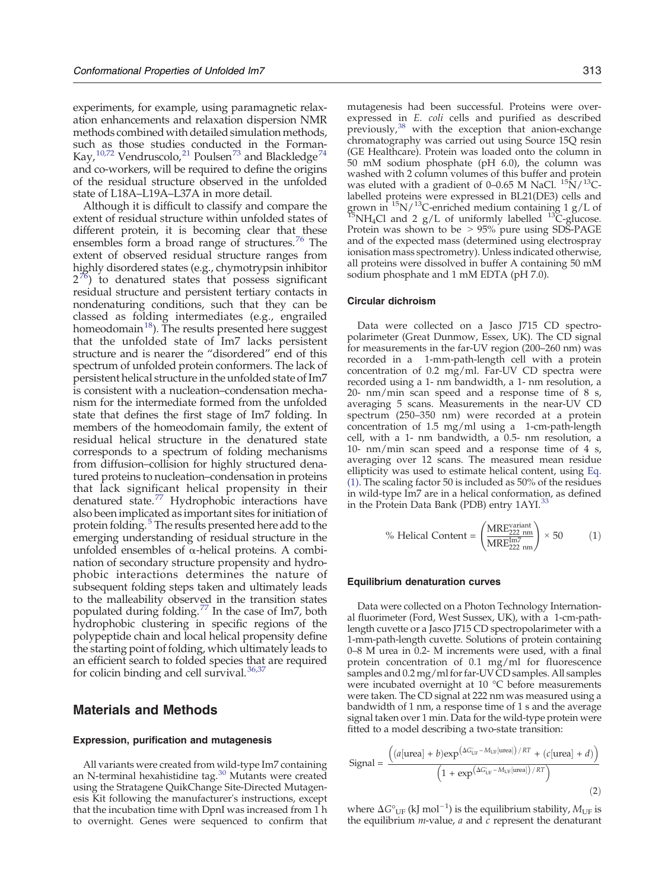<span id="page-14-0"></span>experiments, for example, using paramagnetic relaxation enhancements and relaxation dispersion NMR methods combined with detailed simulation methods, such as those studies conducted in the Forman-Kay[,](#page-16-0)<sup>[10,72](#page-16-0)</sup> Vendruscolo,<sup>[21](#page-16-0)</sup> Poulse[n](#page-18-0)<sup>[73](#page-18-0)</sup> and Blackl[e](#page-18-0)dge<sup>[74](#page-18-0)</sup> and co-workers, will be required to define the origins of the residual structure observed in the unfolded state of L18A–L19A–L37A in more detail.

Although it is difficult to classify and compare the extent of residual structure within unfolded states of different protein, it is becoming clear that these ensembles form a broad range of structures[.](#page-18-0)<sup>[76](#page-18-0)</sup> The extent of observed residual structure ranges from highly disordered states (e.g., chymotrypsin inhibitor  $2^{76}$  $2^{76}$  $2^{76}$  $2^{76}$ ) to denatured states that possess significant residual structure and persistent tertiary contacts in nondenaturing conditions, such that they can be classed as folding intermediates (e.g., engrailed homeodomai[n](#page-16-0) $^{18}$  $^{18}$  $^{18}$ ). The results presented here suggest that the unfolded state of Im7 lacks persistent structure and is nearer the "disordered" end of this spectrum of unfolded protein conformers. The lack of persistent helical structure in the unfolded state of Im7 is consistent with a nucleation–condensation mechanism for the intermediate formed from the unfolded state that defines the first stage of Im7 folding. In members of the homeodomain family, the extent of residual helical structure in the denatured state corresponds to a spectrum of folding mechanisms from diffusion–collision for highly structured denatured proteins to nucleation–condensation in proteins that lack significant helical propensity in their denatured state[.](#page-18-0)<sup>[77](#page-18-0)</sup> Hydrophobic interactions have also been implicated as important sites for initiation of protein folding[.](#page-16-0)<sup>[5](#page-16-0)</sup> The results presented here add to the emerging understanding of residual structure in the unfolded ensembles of  $\alpha$ -helical proteins. A combination of secondary structure propensity and hydrophobic interactions determines the nature of subsequent folding steps taken and ultimately leads to the malleability observed in the transition states populated during folding[.](#page-18-0)<sup>[77](#page-18-0)</sup> In the case of Im7, both hydrophobic clustering in specific regions of the polypeptide chain and local helical propensity define the starting point of folding, which ultimately leads to an efficient search to folded species that are required for colicin binding and cell survival[.](#page-17-0) $36$ ,

# Materials and Methods

#### Expression, purification and mutagenesis

All variants were created from wild-type Im7 containing an N-terminal hexahistidine tag[.](#page-17-0)<sup>[30](#page-17-0)</sup> Mutants were created using the Stratagene QuikChange Site-Directed Mutagenesis Kit following the manufacturer's instructions, except that the incubation time with DpnI was increased from 1 h to overnight. Genes were sequenced to confirm that mutagenesis had been successful. Proteins were overexpressed in E. coli cells and purified as described  $\mu$ <sup>[38](#page-17-0)</sup> with the exception that anion-exchange chromatography was carried out using Source 15Q resin (GE Healthcare). Protein was loaded onto the column in 50 mM sodium phosphate (pH 6.0), the column was washed with 2 column volumes of this buffer and protein was eluted with a gradient of 0–0.65 M NaCl.  $\mathrm{^{15}N/^{13}C}$ labelled proteins were expressed in BL21(DE3) cells and<br>grown in <sup>15</sup>N/<sup>13</sup>C-enriched medium containing 1 g/L of  $15$ NH<sub>4</sub>Cl and 2 g/L of uniformly labelled  $13^{\circ}$ C-glucose. Protein was shown to be  $> 95\%$  pure using SDS-PAGE and of the expected mass (determined using electrospray ionisation mass spectrometry). Unless indicated otherwise, all proteins were dissolved in buffer A containing 50 mM sodium phosphate and 1 mM EDTA (pH 7.0).

#### Circular dichroism

Data were collected on a Jasco J715 CD spectropolarimeter (Great Dunmow, Essex, UK). The CD signal for measurements in the far-UV region (200–260 nm) was recorded in a 1-mm-path-length cell with a protein concentration of 0.2 mg/ml. Far-UV CD spectra were recorded using a 1- nm bandwidth, a 1- nm resolution, a 20- nm/min scan speed and a response time of 8 s, averaging 5 scans. Measurements in the near-UV CD spectrum (250–350 nm) were recorded at a protein concentration of 1.5 mg/ml using a 1-cm-path-length cell, with a 1- nm bandwidth, a 0.5- nm resolution, a 10- nm/min scan speed and a response time of 4 s, averaging over 12 scans. The measured mean residue ellipticity was used to estimate helical content, using [Eq.](#page-13-0) [\(1\)](#page-13-0). The scaling factor 50 is included as 50% of the residues in wild-type Im7 are in a helical conformation, as defined in the Protein Data Bank (PDB) entry 1AYI[.](#page-17-0)<sup>3</sup>

% Helical Content = 
$$
\left(\frac{\text{MRE}_{222 \text{ nm}}^{\text{variant}}}{\text{MRE}_{222 \text{ nm}}^{\text{Im7}}}\right) \times 50
$$
 (1)

#### Equilibrium denaturation curves

Data were collected on a Photon Technology International fluorimeter (Ford, West Sussex, UK), with a 1-cm-pathlength cuvette or a Jasco J715 CD spectropolarimeter with a 1-mm-path-length cuvette. Solutions of protein containing 0–8 M urea in 0.2- M increments were used, with a final protein concentration of 0.1 mg/ml for fluorescence samples and  $0.2$  mg/ml for far-UV CD samples. All samples were incubated overnight at 10 °C before measurements were taken. The CD signal at 222 nm was measured using a bandwidth of 1 nm, a response time of 1 s and the average signal taken over 1 min. Data for the wild-type protein were fitted to a model describing a two-state transition:

$$
\text{Signal} = \frac{\left( (a[\text{urea}] + b) \exp^{\left(\Delta G_{\text{UF}}^* - M_{\text{UF}}[\text{urea}]\right) / RT} + (c[\text{urea}] + d) \right)}{\left(1 + \exp^{\left(\Delta G_{\text{UF}}^* - M_{\text{UF}}[\text{urea}]\right) / RT}\right)}
$$
\n(2)

where  $\Delta G^{\circ}_{\text{UF}}$  (kJ mol<sup>-1</sup>) is the equilibrium stability,  $M_{\text{UF}}$  is the equilibrium  $m$ -value,  $a$  and  $c$  represent the denaturant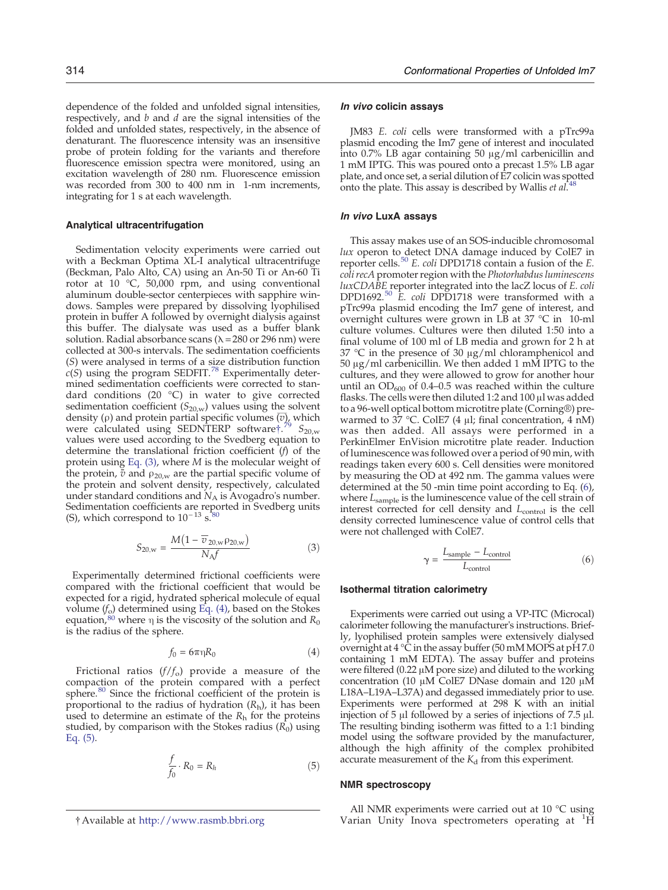<span id="page-15-0"></span>dependence of the folded and unfolded signal intensities, respectively, and  $b$  and  $d$  are the signal intensities of the folded and unfolded states, respectively, in the absence of denaturant. The fluorescence intensity was an insensitive probe of protein folding for the variants and therefore fluorescence emission spectra were monitored, using an excitation wavelength of 280 nm. Fluorescence emission was recorded from 300 to 400 nm in 1-nm increments, integrating for 1 s at each wavelength.

## Analytical ultracentrifugation

Sedimentation velocity experiments were carried out with a Beckman Optima XL-I analytical ultracentrifuge (Beckman, Palo Alto, CA) using an An-50 Ti or An-60 Ti rotor at 10 °C, 50,000 rpm, and using conventional aluminum double-sector centerpieces with sapphire windows. Samples were prepared by dissolving lyophilised protein in buffer A followed by overnight dialysis against this buffer. The dialysate was used as a buffer blank solution. Radial absorbance scans ( $\lambda$  = 280 or 296 nm) were collected at 300-s intervals. The sedimentation coefficients (S) were analysed in terms of a size distribution function  $c(S)$  using the program SEDFIT[.](#page-18-0)<sup>[78](#page-18-0)</sup> Experimentally determined sedimentation coefficients were corrected to standard conditions (20 °C) in water to give corrected sedimentation coefficient  $(S_{20,w})$  values using the solvent density ( $\rho$ ) and protein partial specific volumes  $\overline{\langle v \rangle}$ , which were calculated using SEDNTERP software  $\frac{79}{5}$  $\frac{79}{5}$  $\frac{79}{5}$  S<sub>20,w</sub> values were used according to the Svedberg equation to determine the translational friction coefficient (f) of the protein using [Eq. \(3\),](#page-14-0) where M is the molecular weight of the protein,  $\bar{v}$  and  $\rho_{20,w}$  are the partial specific volume of the protein and solvent density, respectively, calculated under standard conditions and  $N_A$  is Avogadro's number. Sedimentation coefficients are reported in Svedberg units (S), which correspond to  $10^{-13}$  s[.](#page-18-0)<sup>1</sup><sup>1</sup>

$$
S_{20,w} = \frac{M\left(1 - \overline{v}_{20,w} \rho_{20,w}\right)}{N_A f} \tag{3}
$$

Experimentally determined frictional coefficients were compared with the frictional coefficient that would be expected for a rigid, hydrated spherical molecule of equal volume  $(f_0)$  determined using [Eq. \(4\),](#page-14-0) based on the Stokes equation[,](#page-18-0)  $80$  where  $\eta$  is the viscosity of the solution and  $R_0$ is the radius of the sphere.

$$
f_0 = 6\pi \eta R_0 \tag{4}
$$

Frictional ratios  $(f/f_o)$  provide a measure of the compaction of the protein compared with a perfect sphere[.](#page-18-0)<sup>[80](#page-18-0)</sup> Since the frictional coefficient of the protein is proportional to the radius of hydration  $(R_h)$ , it has been used to determine an estimate of the  $R_h$  for the proteins studied, by comparison with the Stokes radius  $(R_0)$  using [Eq. \(5\)](#page-14-0).

$$
\frac{f}{f_0} \cdot R_0 = R_h \tag{5}
$$

#### In vivo colicin assays

JM83 E. coli cells were transformed with a pTrc99a plasmid encoding the Im7 gene of interest and inoculated into 0.7% LB agar containing 50 μg/ml carbenicillin and 1 mM IPTG. This was poured onto a precast 1.5% LB agar plate, and once set, a serial dilution of E7 colicin was spotted onto the plate[.](#page-17-0) This assay is described by Wallis et  $al^{48}$  $al^{48}$  $al^{48}$ .

#### In vivo LuxA assays

This assay makes use of an SOS-inducible chromosomal lux operon to detect DNA damage induced by ColE7 in reporter cells[.](#page-17-0)<sup>[50](#page-17-0)</sup> E. coli DPD1718 contain a fusion of the E. coli recA promoter region with the Photorhabdus luminescens luxCDABE reporter integrated into the lacZ locus of E. coli DPD1692[.](#page-17-0)<sup>[50](#page-17-0)</sup> E. coli DPD1718 were transformed with a pTrc99a plasmid encoding the Im7 gene of interest, and overnight cultures were grown in  $\overline{LB}$  at 37 °C in 10-ml culture volumes. Cultures were then diluted 1:50 into a final volume of 100 ml of LB media and grown for 2 h at 37 °C in the presence of 30 μg/ml chloramphenicol and 50 μg/ml carbenicillin. We then added 1 mM IPTG to the cultures, and they were allowed to grow for another hour until an  $OD_{600}$  of 0.4–0.5 was reached within the culture flasks. The cells were then diluted 1:2 and 100 μl was added to a 96-well optical bottom microtitre plate (Corning®) prewarmed to 37 °C. ColE7 (4 μl; final concentration, 4 nM) was then added. All assays were performed in a PerkinElmer EnVision microtitre plate reader. Induction of luminescence was followed over a period of 90 min, with readings taken every 600 s. Cell densities were monitored by measuring the OD at 492 nm. The gamma values were determined at the 50 -min time point according to Eq. [\(6\)](#page-14-0), where  $L_{\text{sample}}$  is the luminescence value of the cell strain of interest corrected for cell density and  $L_{control}$  is the cell density corrected luminescence value of control cells that were not challenged with ColE7.

$$
\gamma = \frac{L_{\text{sample}} - L_{\text{control}}}{L_{\text{control}}}
$$
(6)

#### Isothermal titration calorimetry

Experiments were carried out using a VP-ITC (Microcal) calorimeter following the manufacturer's instructions. Briefly, lyophilised protein samples were extensively dialysed overnight at 4 °C in the assay buffer (50 mM MOPS at pH 7.0 containing 1 mM EDTA). The assay buffer and proteins were filtered (0.22 μM pore size) and diluted to the working concentration (10 μM ColE7 DNase domain and 120 μM L18A–L19A–L37A) and degassed immediately prior to use. Experiments were performed at 298 K with an initial injection of 5 μl followed by a series of injections of 7.5 μl. The resulting binding isotherm was fitted to a 1:1 binding model using the software provided by the manufacturer, although the high affinity of the complex prohibited accurate measurement of the  $K_d$  from this experiment.

#### NMR spectroscopy

All NMR experiments were carried out at 10 °C using † Available at <http://www.rasmb.bbri.org> Marian Unity Inova spectrometers operating at <sup>1</sup>H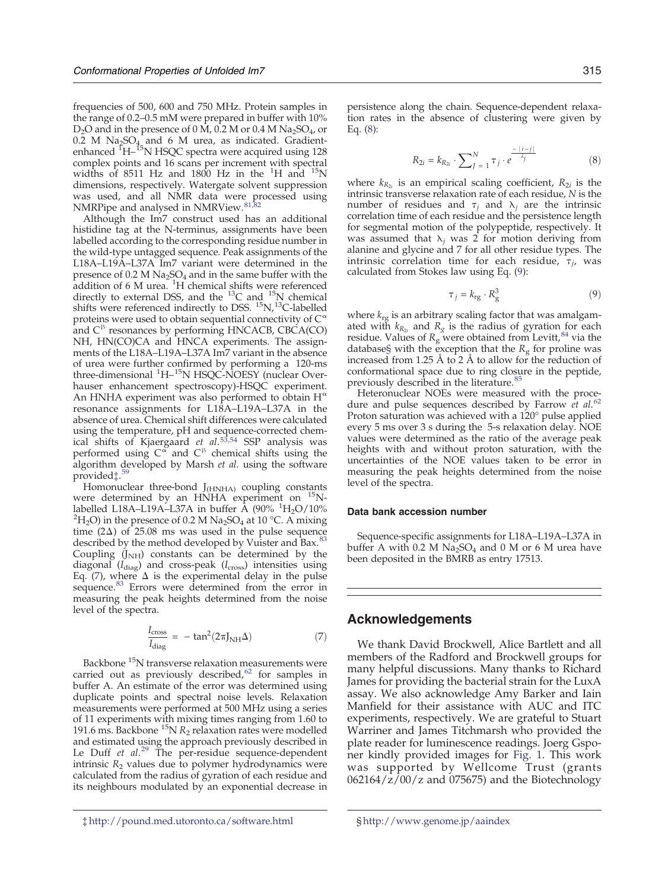<span id="page-16-0"></span>frequencies of 500, 600 and 750 MHz. Protein samples in the range of 0.2–0.5 mM were prepared in buffer with 10%  $D_2O$  and in the presence of 0 M, 0.2 M or 0.4 M Na<sub>2</sub>SO<sub>4</sub>, or 0.2 M Na<sub>2</sub>SO<sub>4</sub> and 6 M urea, as indicated. Gradient-<br>enhanced <sup>1</sup>H–<sup>15</sup>N HSQC spectra were acquired using 128 complex points and 16 scans per increment with spectral widths of 8511 Hz and 1800 Hz in the  ${}^{1}$ H and  ${}^{15}$ N dimensions, respectively. Watergate solvent suppression was used, and all NMR data were processed using NMRPipe and analysed in NMRView[.](#page-18-0)<sup>[81,82](#page-18-0)</sup>

Although the Im7 construct used has an additional histidine tag at the N-terminus, assignments have been labelled according to the corresponding residue number in the wild-type untagged sequence. Peak assignments of the L18A–L19A–L37A Im7 variant were determined in the presence of  $0.2 M Na<sub>2</sub>SO<sub>4</sub>$  and in the same buffer with the addition of 6 M urea.  ${}^{1}H$  chemical shifts were referenced directly to external DSS, and the  $^{13}$ C and  $^{15}$ N chemical shifts were referenced indirectly to DSS. <sup>15</sup>N,<sup>13</sup>C-labelled proteins were used to obtain sequential connectivity of  $C^{\alpha}$ and  $C^{\beta}$  resonances by performing HNCACB, CBCA(CO) NH, HN(CO)CA and HNCA experiments. The assignments of the L18A–L19A–L37A Im7 variant in the absence of urea were further confirmed by performing a 120-ms three-dimensional <sup>1</sup>H-<sup>15</sup>N HSQC-NOESY (nuclear Overhauser enhancement spectroscopy)-HSQC experiment. An HNHA experiment was also performed to obtain  $H^{\alpha}$ resonance assignments for L18A–L19A–L37A in the absence of urea. Chemical shift differences were calculated using the temperature, pH and sequence-corrected chem-ical shifts of Kjaergaard et al[.](#page-17-0)<sup>[53,54](#page-17-0)</sup> SSP analysis was performed using  $C^{\alpha'}$  and  $C^{\beta}$  chemical shifts using the algorithm developed by Marsh et al. using the software provided‡[.](#page-18-0) [59](#page-18-0)

Homonuclear three-bond  $J<sub>(HNHA)</sub>$  coupling constants were determined by an HNHA experiment on <sup>15</sup>Nlabelled L18A–L19A–L37A in buffer  $\rm \AA$  (90%  $\rm ^1H_2O/10\%$  $^{2}H_{2}O$ ) in the presence of 0.2 M Na<sub>2</sub>SO<sub>4</sub> at 10 °C. A mixing time (2 $\Delta$ ) of 25.08 ms was used in the pulse sequence described by the method developed by Vuister and Bax[.](#page-18-0)<sup>[83](#page-18-0)</sup> Coupling  $(J<sub>NH</sub>)$  constants can be determined by the diagonal  $(I_{\text{diag}})$  and cross-peak  $(I_{\text{cross}})$  intensities using Eq. [\(7\)](#page-15-0), where  $\Delta$  is the experimental delay in the pulse sequence[.](#page-18-0)<sup>[83](#page-18-0)</sup> Errors were determined from the error in measuring the peak heights determined from the noise level of the spectra.

$$
\frac{I_{\text{cross}}}{I_{\text{diag}}} = -\tan^2(2\pi J_{\text{NH}}\Delta) \tag{7}
$$

Backbone <sup>15</sup>N transverse relaxation measurements were carried out as previously described[,](#page-18-0) $62$  for samples in buffer A. An estimate of the error was determined using duplicate points and spectral noise levels. Relaxation measurements were performed at 500 MHz using a series of 11 experiments with mixing times ranging from 1.60 to 191.6 ms. Backbone  ${}^{15}N R_2$  relaxation rates were modelled and estimated using the approach previously described in Le Duff et  $al.^{29}$  $al.^{29}$  $al.^{29}$  $al.^{29}$  $al.^{29}$  The per-residue sequence-dependent intrinsic  $R_2$  values due to polymer hydrodynamics were calculated from the radius of gyration of each residue and its neighbours modulated by an exponential decrease in persistence along the chain. Sequence-dependent relaxation rates in the absence of clustering were given by Eq. ([8](#page-15-0)):

$$
R_{2i} = k_{R_{2i}} \cdot \sum_{J=1}^{N} \tau_j \cdot e^{\frac{-|i-j|}{\lambda_j}}
$$
 (8)

where  $k_{R_{2i}}$  is an empirical scaling coefficient,  $R_{2i}$  is the intrinsic transverse relaxation rate of each residue, N is the number of residues and  $τ<sub>j</sub>$  and  $λ<sub>j</sub>$  are the intrinsic correlation time of each residue and the persistence length for segmental motion of the polypeptide, respectively. It was assumed that  $\lambda_i$  was 2 for motion deriving from alanine and glycine and 7 for all other residue types. The intrinsic correlation time for each residue,  $\tau_{j}$ , was calculated from Stokes law using Eq. ([9](#page-15-0)):

$$
\tau_j = k_{\rm rg} \cdot R_{\rm g}^3 \tag{9}
$$

where  $k_{rg}$  is an arbitrary scaling factor that was amalgamated with  $k_{R_{2i}}$  and  $R_g$  is the radius of gyration for each residue. Values of  $R_g$  were obtained from Levitt[,](#page-18-0)<sup>[84](#page-18-0)</sup> via the database§ with the exception that the  $R_g$  for proline was increased from 1.25 Å to 2 Å to allow for the reduction of conformational space due to ring closure in the peptide, previously described in the literature[.](#page-18-0)<sup>[85](#page-18-0)</sup>

Heteronuclear NOEs were measured with the proce-dure and pulse sequences described by Farrow et al[.](#page-18-0)<sup>[62](#page-18-0)</sup> Proton saturation was achieved with a 120° pulse applied every 5 ms over 3 s during the 5-s relaxation delay. NOE values were determined as the ratio of the average peak heights with and without proton saturation, with the uncertainties of the NOE values taken to be error in measuring the peak heights determined from the noise level of the spectra.

#### Data bank accession number

Sequence-specific assignments for L18A–L19A–L37A in buffer A with 0.2 M  $Na<sub>2</sub>SO<sub>4</sub>$  and 0 M or 6 M urea have been deposited in the BMRB as entry 17513.

# Acknowledgements

We thank David Brockwell, Alice Bartlett and all members of the Radford and Brockwell groups for many helpful discussions. Many thanks to Richard James for providing the bacterial strain for the LuxA assay. We also acknowledge Amy Barker and Iain Manfield for their assistance with AUC and ITC experiments, respectively. We are grateful to Stuart Warriner and James Titchmarsh who provided the plate reader for luminescence readings. Joerg Gsponer kindly provided images for [Fig. 1](#page-1-0). This work was supported by Wellcome Trust (grants  $062164/z/00/z$  and 075675) and the Biotechnology

‡ <http://pound.med.utoronto.ca/software.html> § <http://www.genome.jp/aaindex>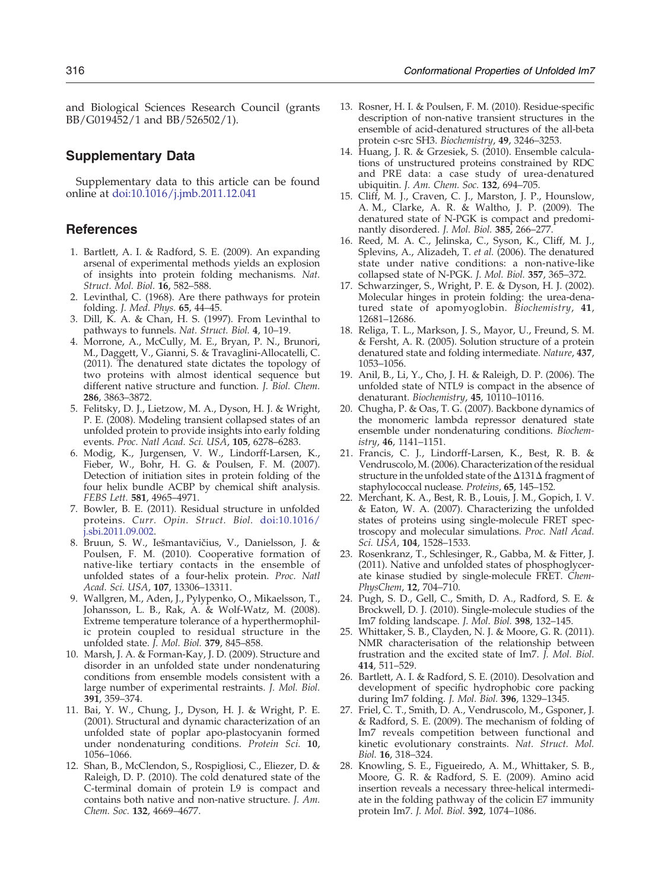<span id="page-17-0"></span>and Biological Sciences Research Council (grants BB/G019452/1 and BB/526502/1).

# Supplementary Data

Supplementary data to this article can be found online at [doi:10.1016/j.jmb.2011.12.041](http://dx.doi.org/10.1016/j.jmb.2011.12.041)

# References

- 1. Bartlett, A. I. & Radford, S. E. (2009). An expanding arsenal of experimental methods yields an explosion of insights into protein folding mechanisms. Nat. Struct. Mol. Biol. 16, 582–588.
- 2. Levinthal, C. (1968). Are there pathways for protein folding. J. Med. Phys. 65, 44–45.
- 3. Dill, K. A. & Chan, H. S. (1997). From Levinthal to pathways to funnels. Nat. Struct. Biol. 4, 10–19.
- 4. Morrone, A., McCully, M. E., Bryan, P. N., Brunori, M., Daggett, V., Gianni, S. & Travaglini-Allocatelli, C. (2011). The denatured state dictates the topology of two proteins with almost identical sequence but different native structure and function. J. Biol. Chem. 286, 3863–3872.
- 5. Felitsky, D. J., Lietzow, M. A., Dyson, H. J. & Wright, P. E. (2008). Modeling transient collapsed states of an unfolded protein to provide insights into early folding events. Proc. Natl Acad. Sci. USA, 105, 6278–6283.
- 6. Modig, K., Jurgensen, V. W., Lindorff-Larsen, K., Fieber, W., Bohr, H. G. & Poulsen, F. M. (2007). Detection of initiation sites in protein folding of the four helix bundle ACBP by chemical shift analysis. FEBS Lett. 581, 4965–4971.
- 7. Bowler, B. E. (2011). Residual structure in unfolded proteins. Curr. Opin. Struct. Biol. doi:[10.1016/](http://dx.doi.org/10.1016/j.sbi.2011.09.002) [j.sbi.2011.09.002](http://dx.doi.org/10.1016/j.sbi.2011.09.002).
- 8. Bruun, S. W., Iešmantavičius, V., Danielsson, J. & Poulsen, F. M. (2010). Cooperative formation of native-like tertiary contacts in the ensemble of unfolded states of a four-helix protein. Proc. Natl Acad. Sci. USA, 107, 13306–13311.
- 9. Wallgren, M., Aden, J., Pylypenko, O., Mikaelsson, T., Johansson, L. B., Rak, A. & Wolf-Watz, M. (2008). Extreme temperature tolerance of a hyperthermophilic protein coupled to residual structure in the unfolded state. J. Mol. Biol. 379, 845–858.
- 10. Marsh, J. A. & Forman-Kay, J. D. (2009). Structure and disorder in an unfolded state under nondenaturing conditions from ensemble models consistent with a large number of experimental restraints. J. Mol. Biol. 391, 359–374.
- 11. Bai, Y. W., Chung, J., Dyson, H. J. & Wright, P. E. (2001). Structural and dynamic characterization of an unfolded state of poplar apo-plastocyanin formed under nondenaturing conditions. Protein Sci. 10, 1056–1066.
- 12. Shan, B., McClendon, S., Rospigliosi, C., Eliezer, D. & Raleigh, D. P. (2010). The cold denatured state of the C-terminal domain of protein L9 is compact and contains both native and non-native structure. J. Am. Chem. Soc. 132, 4669–4677.
- 13. Rosner, H. I. & Poulsen, F. M. (2010). Residue-specific description of non-native transient structures in the ensemble of acid-denatured structures of the all-beta protein c-src SH3. Biochemistry, 49, 3246–3253.
- 14. Huang, J. R. & Grzesiek, S. (2010). Ensemble calculations of unstructured proteins constrained by RDC and PRE data: a case study of urea-denatured ubiquitin. J. Am. Chem. Soc. 132, 694–705.
- 15. Cliff, M. J., Craven, C. J., Marston, J. P., Hounslow, A. M., Clarke, A. R. & Waltho, J. P. (2009). The denatured state of N-PGK is compact and predominantly disordered. J. Mol. Biol. 385, 266–277.
- 16. Reed, M. A. C., Jelinska, C., Syson, K., Cliff, M. J., Splevins, A., Alizadeh, T. et al. (2006). The denatured state under native conditions: a non-native-like collapsed state of N-PGK. J. Mol. Biol. 357, 365–372.
- 17. Schwarzinger, S., Wright, P. E. & Dyson, H. J. (2002). Molecular hinges in protein folding: the urea-denatured state of apomyoglobin. Biochemistry, 41, 12681–12686.
- 18. Religa, T. L., Markson, J. S., Mayor, U., Freund, S. M. & Fersht, A. R. (2005). Solution structure of a protein denatured state and folding intermediate. Nature, 437, 1053–1056.
- 19. Anil, B., Li, Y., Cho, J. H. & Raleigh, D. P. (2006). The unfolded state of NTL9 is compact in the absence of denaturant. Biochemistry, 45, 10110-10116.
- 20. Chugha, P. & Oas, T. G. (2007). Backbone dynamics of the monomeric lambda repressor denatured state ensemble under nondenaturing conditions. Biochemistry, 46, 1141–1151.
- 21. Francis, C. J., Lindorff-Larsen, K., Best, R. B. & Vendruscolo, M. (2006). Characterization of the residual structure in the unfolded state of the Δ131Δ fragment of staphylococcal nuclease. Proteins, 65, 145–152.
- 22. Merchant, K. A., Best, R. B., Louis, J. M., Gopich, I. V. & Eaton, W. A. (2007). Characterizing the unfolded states of proteins using single-molecule FRET spectroscopy and molecular simulations. Proc. Natl Acad. Sci. USA, 104, 1528–1533.
- 23. Rosenkranz, T., Schlesinger, R., Gabba, M. & Fitter, J. (2011). Native and unfolded states of phosphoglycerate kinase studied by single-molecule FRET. Chem-PhysChem, 12, 704–710.
- 24. Pugh, S. D., Gell, C., Smith, D. A., Radford, S. E. & Brockwell, D. J. (2010). Single-molecule studies of the Im7 folding landscape. J. Mol. Biol. 398, 132–145.
- 25. Whittaker, S. B., Clayden, N. J. & Moore, G. R. (2011). NMR characterisation of the relationship between frustration and the excited state of Im7. J. Mol. Biol. 414, 511–529.
- 26. Bartlett, A. I. & Radford, S. E. (2010). Desolvation and development of specific hydrophobic core packing during Im7 folding. J. Mol. Biol. 396, 1329–1345.
- 27. Friel, C. T., Smith, D. A., Vendruscolo, M., Gsponer, J. & Radford, S. E. (2009). The mechanism of folding of Im7 reveals competition between functional and kinetic evolutionary constraints. Nat. Struct. Mol. Biol. 16, 318–324.
- 28. Knowling, S. E., Figueiredo, A. M., Whittaker, S. B., Moore, G. R. & Radford, S. E. (2009). Amino acid insertion reveals a necessary three-helical intermediate in the folding pathway of the colicin E7 immunity protein Im7. J. Mol. Biol. 392, 1074–1086.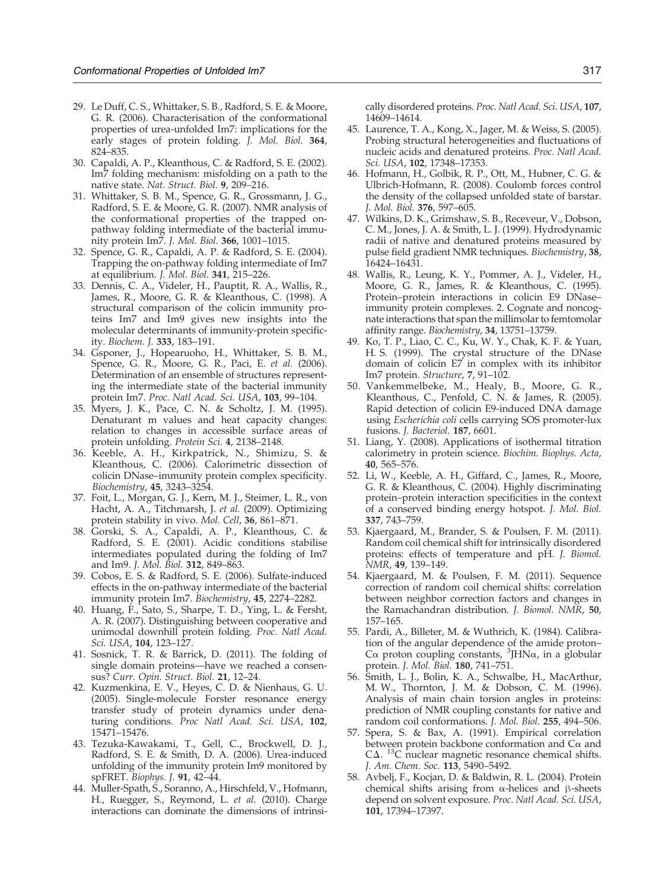- <span id="page-18-0"></span>29. Le Duff, C. S., Whittaker, S. B., Radford, S. E. & Moore, G. R. (2006). Characterisation of the conformational properties of urea-unfolded Im7: implications for the early stages of protein folding. J. Mol. Biol. 364, 824–835.
- 30. Capaldi, A. P., Kleanthous, C. & Radford, S. E. (2002). Im7 folding mechanism: misfolding on a path to the native state. Nat. Struct. Biol. 9, 209–216.
- 31. Whittaker, S. B. M., Spence, G. R., Grossmann, J. G., Radford, S. E. & Moore, G. R. (2007). NMR analysis of the conformational properties of the trapped onpathway folding intermediate of the bacterial immunity protein Im7. J. Mol. Biol. 366, 1001–1015.
- 32. Spence, G. R., Capaldi, A. P. & Radford, S. E. (2004). Trapping the on-pathway folding intermediate of Im7 at equilibrium. J. Mol. Biol. 341, 215–226.
- 33. Dennis, C. A., Videler, H., Pauptit, R. A., Wallis, R., James, R., Moore, G. R. & Kleanthous, C. (1998). A structural comparison of the colicin immunity proteins Im7 and Im9 gives new insights into the molecular determinants of immunity-protein specificity. Biochem. J. 333, 183–191.
- 34. Gsponer, J., Hopearuoho, H., Whittaker, S. B. M., Spence, G. R., Moore, G. R., Paci, E. et al. (2006). Determination of an ensemble of structures representing the intermediate state of the bacterial immunity protein Im7. Proc. Natl Acad. Sci. USA, 103, 99–104.
- 35. Myers, J. K., Pace, C. N. & Scholtz, J. M. (1995). Denaturant m values and heat capacity changes: relation to changes in accessible surface areas of protein unfolding. Protein Sci. 4, 2138–2148.
- 36. Keeble, A. H., Kirkpatrick, N., Shimizu, S. & Kleanthous, C. (2006). Calorimetric dissection of colicin DNase–immunity protein complex specificity. Biochemistry, 45, 3243–3254.
- 37. Foit, L., Morgan, G. J., Kern, M. J., Steimer, L. R., von Hacht, A. A., Titchmarsh, J. et al. (2009). Optimizing protein stability in vivo. Mol. Cell, 36, 861–871.
- 38. Gorski, S. A., Capaldi, A. P., Kleanthous, C. & Radford, S. E. (2001). Acidic conditions stabilise intermediates populated during the folding of Im7 and Im9. J. Mol. Biol. 312, 849–863.
- 39. Cobos, E. S. & Radford, S. E. (2006). Sulfate-induced effects in the on-pathway intermediate of the bacterial immunity protein Im7. Biochemistry, 45, 2274–2282.
- 40. Huang, F., Sato, S., Sharpe, T. D., Ying, L. & Fersht, A. R. (2007). Distinguishing between cooperative and unimodal downhill protein folding. Proc. Natl Acad. Sci. USA, 104, 123-127.
- 41. Sosnick, T. R. & Barrick, D. (2011). The folding of single domain proteins—have we reached a consensus? Curr. Opin. Struct. Biol. 21, 12–24.
- 42. Kuzmenkina, E. V., Heyes, C. D. & Nienhaus, G. U. (2005). Single-molecule Forster resonance energy transfer study of protein dynamics under denaturing conditions. Proc Natl Acad. Sci. USA, 102, 15471–15476.
- 43. Tezuka-Kawakami, T., Gell, C., Brockwell, D. J., Radford, S. E. & Smith, D. A. (2006). Urea-induced unfolding of the immunity protein Im9 monitored by spFRET. Biophys. J. 91, 42–44.
- 44. Muller-Spath, S., Soranno, A., Hirschfeld, V., Hofmann, H., Ruegger, S., Reymond, L. et al. (2010). Charge interactions can dominate the dimensions of intrinsi-

cally disordered proteins. Proc. Natl Acad. Sci. USA, 107, 14609–14614.

- 45. Laurence, T. A., Kong, X., Jager, M. & Weiss, S. (2005). Probing structural heterogeneities and fluctuations of nucleic acids and denatured proteins. Proc. Natl Acad. Sci. USA, 102, 17348–17353.
- 46. Hofmann, H., Golbik, R. P., Ott, M., Hubner, C. G. & Ulbrich-Hofmann, R. (2008). Coulomb forces control the density of the collapsed unfolded state of barstar. J. Mol. Biol. 376, 597–605.
- 47. Wilkins, D. K., Grimshaw, S. B., Receveur, V., Dobson, C. M., Jones, J. A. & Smith, L. J. (1999). Hydrodynamic radii of native and denatured proteins measured by pulse field gradient NMR techniques. Biochemistry, 38, 16424–16431.
- 48. Wallis, R., Leung, K. Y., Pommer, A. J., Videler, H., Moore, G. R., James, R. & Kleanthous, C. (1995). Protein–protein interactions in colicin E9 DNase– immunity protein complexes. 2. Cognate and noncognate interactions that span the millimolar to femtomolar affinity range. Biochemistry, 34, 13751–13759.
- 49. Ko, T. P., Liao, C. C., Ku, W. Y., Chak, K. F. & Yuan, H. S. (1999). The crystal structure of the DNase domain of colicin E7 in complex with its inhibitor Im7 protein. Structure, 7, 91–102.
- 50. Vankemmelbeke, M., Healy, B., Moore, G. R., Kleanthous, C., Penfold, C. N. & James, R. (2005). Rapid detection of colicin E9-induced DNA damage using Escherichia coli cells carrying SOS promoter-lux fusions. J. Bacteriol. 187, 6601.
- 51. Liang, Y. (2008). Applications of isothermal titration calorimetry in protein science. Biochim. Biophys. Acta, 40, 565–576.
- 52. Li, W., Keeble, A. H., Giffard, C., James, R., Moore, G. R. & Kleanthous, C. (2004). Highly discriminating protein–protein interaction specificities in the context of a conserved binding energy hotspot. J. Mol. Biol. 337, 743–759.
- 53. Kjaergaard, M., Brander, S. & Poulsen, F. M. (2011). Random coil chemical shift for intrinsically disordered proteins: effects of temperature and pH. J. Biomol. NMR, 49, 139–149.
- 54. Kjaergaard, M. & Poulsen, F. M. (2011). Sequence correction of random coil chemical shifts: correlation between neighbor correction factors and changes in the Ramachandran distribution. J. Biomol. NMR, 50, 157–165.
- 55. Pardi, A., Billeter, M. & Wuthrich, K. (1984). Calibration of the angular dependence of the amide proton– Cα proton coupling constants, <sup>3</sup> JHNα, in a globular protein. J. Mol. Biol. 180, 741–751.
- 56. Smith, L. J., Bolin, K. A., Schwalbe, H., MacArthur, M. W., Thornton, J. M. & Dobson, C. M. (1996). Analysis of main chain torsion angles in proteins: prediction of NMR coupling constants for native and random coil conformations. J. Mol. Biol. 255, 494–506.
- 57. Spera, S. & Bax, A. (1991). Empirical correlation between protein backbone conformation and  $C\alpha$  and CΔ. <sup>13</sup>C nuclear magnetic resonance chemical shifts. J. Am. Chem. Soc. 113, 5490–5492.
- 58. Avbelj, F., Kocjan, D. & Baldwin, R. L. (2004). Protein chemical shifts arising from α-helices and β-sheets depend on solvent exposure. Proc. Natl Acad. Sci. USA, 101, 17394–17397.